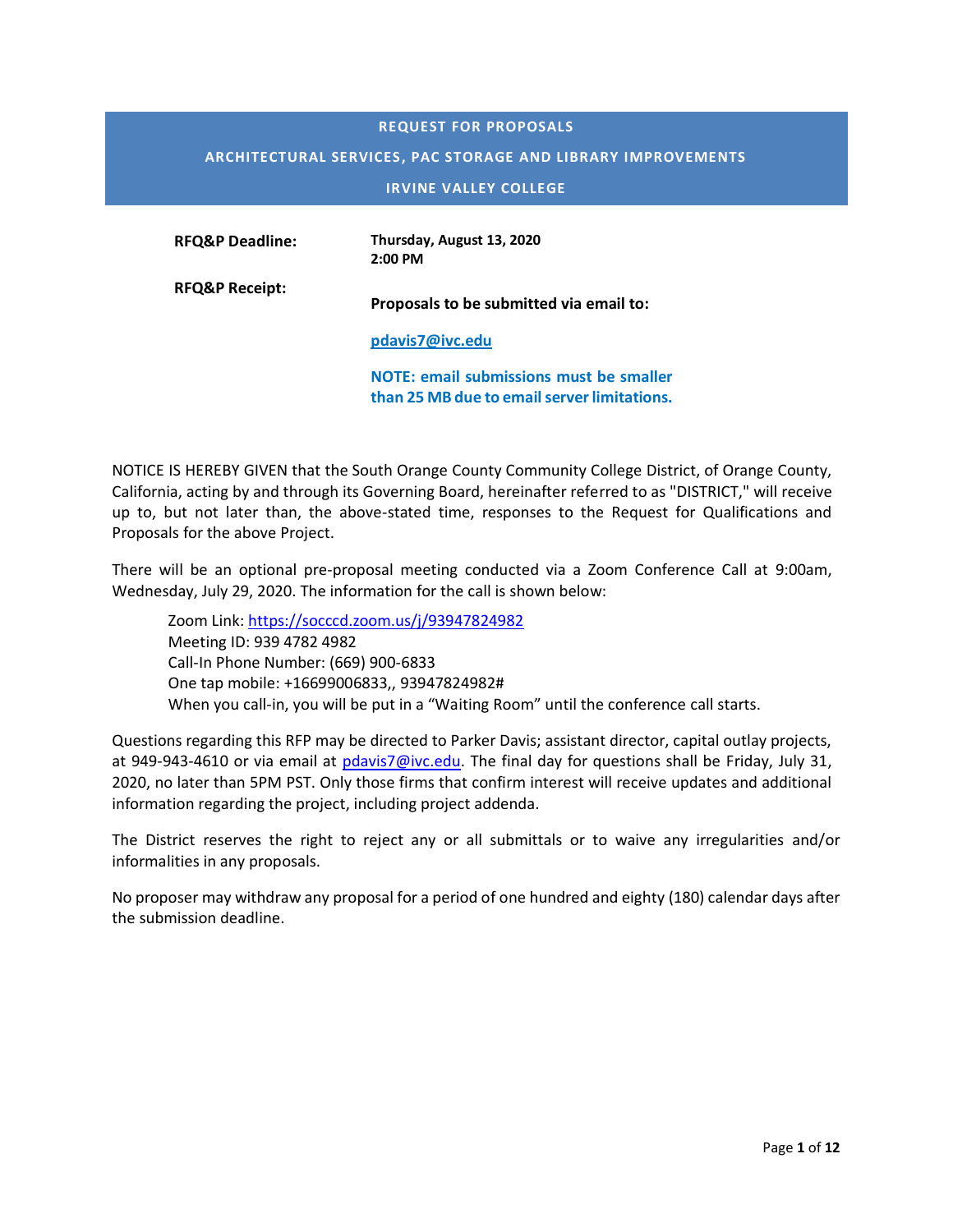#### **REQUEST FOR PROPOSALS**

#### **ARCHITECTURAL SERVICES, PAC STORAGE AND LIBRARY IMPROVEMENTS**

**IRVINE VALLEY COLLEGE**

| <b>RFO&amp;P Deadline:</b> | Thursday, August 13, 2020 |
|----------------------------|---------------------------|
|                            | $2:00$ PM                 |

**RFQ&P Receipt: Proposals to be submitted via email to:** 

**[pdavis7@ivc.edu](mailto:pdavis7@ivc.edu)**

**NOTE: email submissions must be smaller than 25 MB due to email server limitations.** 

NOTICE IS HEREBY GIVEN that the South Orange County Community College District, of Orange County, California, acting by and through its Governing Board, hereinafter referred to as "DISTRICT," will receive up to, but not later than, the above-stated time, responses to the Request for Qualifications and Proposals for the above Project.

There will be an optional pre-proposal meeting conducted via a Zoom Conference Call at 9:00am, Wednesday, July 29, 2020. The information for the call is shown below:

Zoom Link: <https://socccd.zoom.us/j/93947824982> Meeting ID: 939 4782 4982 Call-In Phone Number: (669) 900-6833 One tap mobile: +16699006833,, 93947824982# When you call-in, you will be put in a "Waiting Room" until the conference call starts.

Questions regarding this RFP may be directed to Parker Davis; assistant director, capital outlay projects, at 949-943-4610 or via email at [pdavis7@ivc.edu.](mailto:pdavis7@ivc.edu) The final day for questions shall be Friday, July 31, 2020, no later than 5PM PST. Only those firms that confirm interest will receive updates and additional information regarding the project, including project addenda.

The District reserves the right to reject any or all submittals or to waive any irregularities and/or informalities in any proposals.

No proposer may withdraw any proposal for a period of one hundred and eighty (180) calendar days after the submission deadline.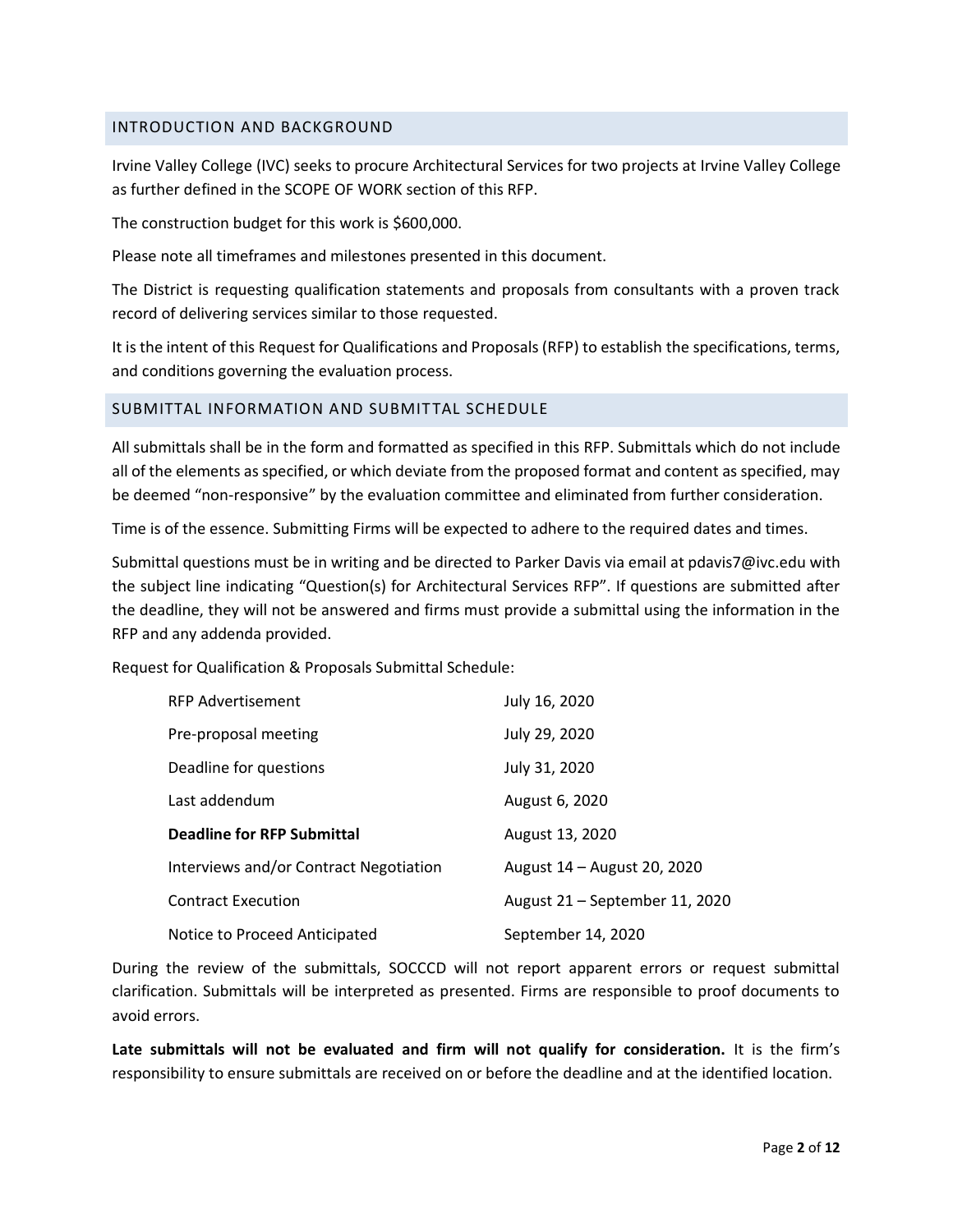#### INTRODUCTION AND BACKGROUND

Irvine Valley College (IVC) seeks to procure Architectural Services for two projects at Irvine Valley College as further defined in the SCOPE OF WORK section of this RFP.

The construction budget for this work is \$600,000.

Please note all timeframes and milestones presented in this document.

The District is requesting qualification statements and proposals from consultants with a proven track record of delivering services similar to those requested.

It is the intent of this Request for Qualifications and Proposals (RFP) to establish the specifications, terms, and conditions governing the evaluation process.

#### SUBMITTAL INFORMATION AND SUBMITTAL SCHEDULE

All submittals shall be in the form and formatted as specified in this RFP. Submittals which do not include all of the elements as specified, or which deviate from the proposed format and content as specified, may be deemed "non-responsive" by the evaluation committee and eliminated from further consideration.

Time is of the essence. Submitting Firms will be expected to adhere to the required dates and times.

Submittal questions must be in writing and be directed to Parker Davis via email at pdavis7@ivc.edu with the subject line indicating "Question(s) for Architectural Services RFP". If questions are submitted after the deadline, they will not be answered and firms must provide a submittal using the information in the RFP and any addenda provided.

Request for Qualification & Proposals Submittal Schedule:

| <b>RFP Advertisement</b>               | July 16, 2020                  |
|----------------------------------------|--------------------------------|
| Pre-proposal meeting                   | July 29, 2020                  |
| Deadline for questions                 | July 31, 2020                  |
| Last addendum                          | August 6, 2020                 |
| <b>Deadline for RFP Submittal</b>      | August 13, 2020                |
| Interviews and/or Contract Negotiation | August 14 - August 20, 2020    |
| <b>Contract Execution</b>              | August 21 - September 11, 2020 |
| Notice to Proceed Anticipated          | September 14, 2020             |

During the review of the submittals, SOCCCD will not report apparent errors or request submittal clarification. Submittals will be interpreted as presented. Firms are responsible to proof documents to avoid errors.

**Late submittals will not be evaluated and firm will not qualify for consideration.** It is the firm's responsibility to ensure submittals are received on or before the deadline and at the identified location.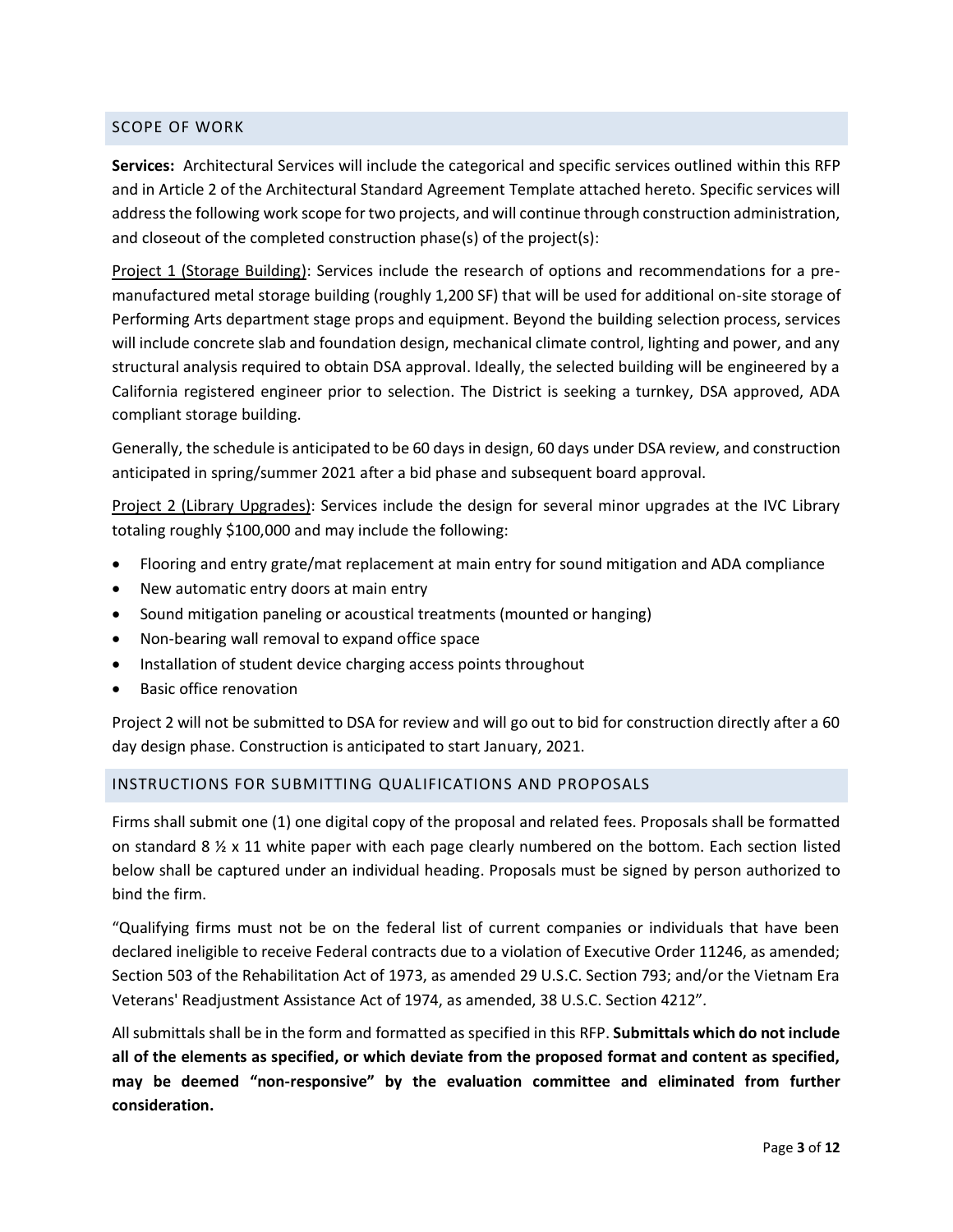## SCOPE OF WORK

**Services:** Architectural Services will include the categorical and specific services outlined within this RFP and in Article 2 of the Architectural Standard Agreement Template attached hereto. Specific services will addressthe following work scope for two projects, and will continue through construction administration, and closeout of the completed construction phase(s) of the project(s):

Project 1 (Storage Building): Services include the research of options and recommendations for a premanufactured metal storage building (roughly 1,200 SF) that will be used for additional on-site storage of Performing Arts department stage props and equipment. Beyond the building selection process, services will include concrete slab and foundation design, mechanical climate control, lighting and power, and any structural analysis required to obtain DSA approval. Ideally, the selected building will be engineered by a California registered engineer prior to selection. The District is seeking a turnkey, DSA approved, ADA compliant storage building.

Generally, the schedule is anticipated to be 60 days in design, 60 days under DSA review, and construction anticipated in spring/summer 2021 after a bid phase and subsequent board approval.

Project 2 (Library Upgrades): Services include the design for several minor upgrades at the IVC Library totaling roughly \$100,000 and may include the following:

- Flooring and entry grate/mat replacement at main entry for sound mitigation and ADA compliance
- New automatic entry doors at main entry
- Sound mitigation paneling or acoustical treatments (mounted or hanging)
- Non-bearing wall removal to expand office space
- Installation of student device charging access points throughout
- Basic office renovation

Project 2 will not be submitted to DSA for review and will go out to bid for construction directly after a 60 day design phase. Construction is anticipated to start January, 2021.

### INSTRUCTIONS FOR SUBMITTING QUALIFICATIONS AND PROPOSALS

Firms shall submit one (1) one digital copy of the proposal and related fees. Proposals shall be formatted on standard 8  $\frac{1}{2}$  x 11 white paper with each page clearly numbered on the bottom. Each section listed below shall be captured under an individual heading. Proposals must be signed by person authorized to bind the firm.

"Qualifying firms must not be on the federal list of current companies or individuals that have been declared ineligible to receive Federal contracts due to a violation of Executive Order 11246, as amended; Section 503 of the Rehabilitation Act of 1973, as amended 29 U.S.C. Section 793; and/or the Vietnam Era Veterans' Readjustment Assistance Act of 1974, as amended, 38 U.S.C. Section 4212"*.*

All submittals shall be in the form and formatted as specified in this RFP. **Submittals which do not include all of the elements as specified, or which deviate from the proposed format and content as specified, may be deemed "non-responsive" by the evaluation committee and eliminated from further consideration.**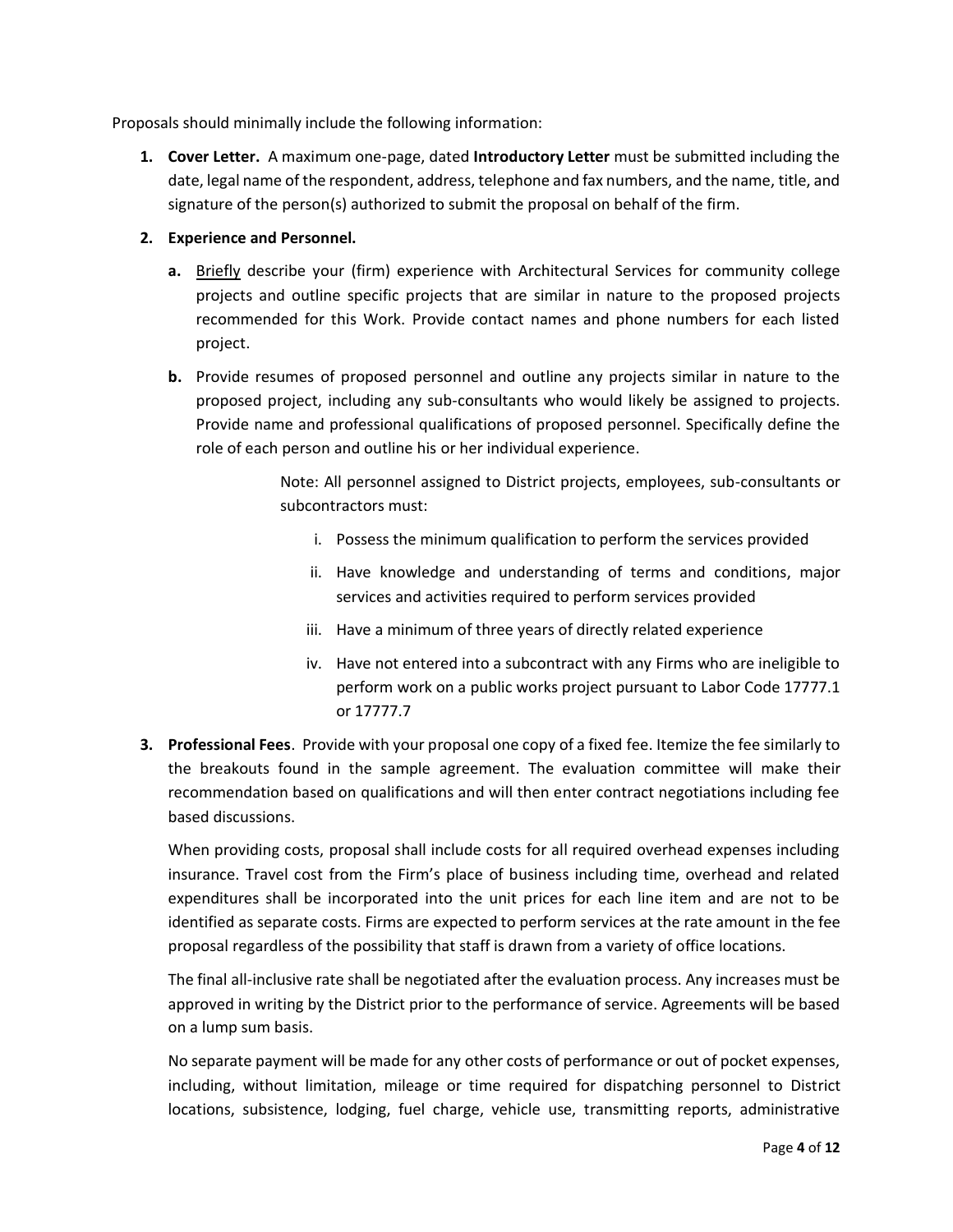Proposals should minimally include the following information:

- **1. Cover Letter.** A maximum one-page, dated **Introductory Letter** must be submitted including the date, legal name of the respondent, address, telephone and fax numbers, and the name, title, and signature of the person(s) authorized to submit the proposal on behalf of the firm.
- **2. Experience and Personnel.**
	- **a.** Briefly describe your (firm) experience with Architectural Services for community college projects and outline specific projects that are similar in nature to the proposed projects recommended for this Work. Provide contact names and phone numbers for each listed project.
	- **b.** Provide resumes of proposed personnel and outline any projects similar in nature to the proposed project, including any sub-consultants who would likely be assigned to projects. Provide name and professional qualifications of proposed personnel. Specifically define the role of each person and outline his or her individual experience.

Note: All personnel assigned to District projects, employees, sub-consultants or subcontractors must:

- i. Possess the minimum qualification to perform the services provided
- ii. Have knowledge and understanding of terms and conditions, major services and activities required to perform services provided
- iii. Have a minimum of three years of directly related experience
- iv. Have not entered into a subcontract with any Firms who are ineligible to perform work on a public works project pursuant to Labor Code 17777.1 or 17777.7
- **3. Professional Fees**. Provide with your proposal one copy of a fixed fee. Itemize the fee similarly to the breakouts found in the sample agreement. The evaluation committee will make their recommendation based on qualifications and will then enter contract negotiations including fee based discussions.

When providing costs, proposal shall include costs for all required overhead expenses including insurance. Travel cost from the Firm's place of business including time, overhead and related expenditures shall be incorporated into the unit prices for each line item and are not to be identified as separate costs. Firms are expected to perform services at the rate amount in the fee proposal regardless of the possibility that staff is drawn from a variety of office locations.

The final all-inclusive rate shall be negotiated after the evaluation process. Any increases must be approved in writing by the District prior to the performance of service. Agreements will be based on a lump sum basis.

No separate payment will be made for any other costs of performance or out of pocket expenses, including, without limitation, mileage or time required for dispatching personnel to District locations, subsistence, lodging, fuel charge, vehicle use, transmitting reports, administrative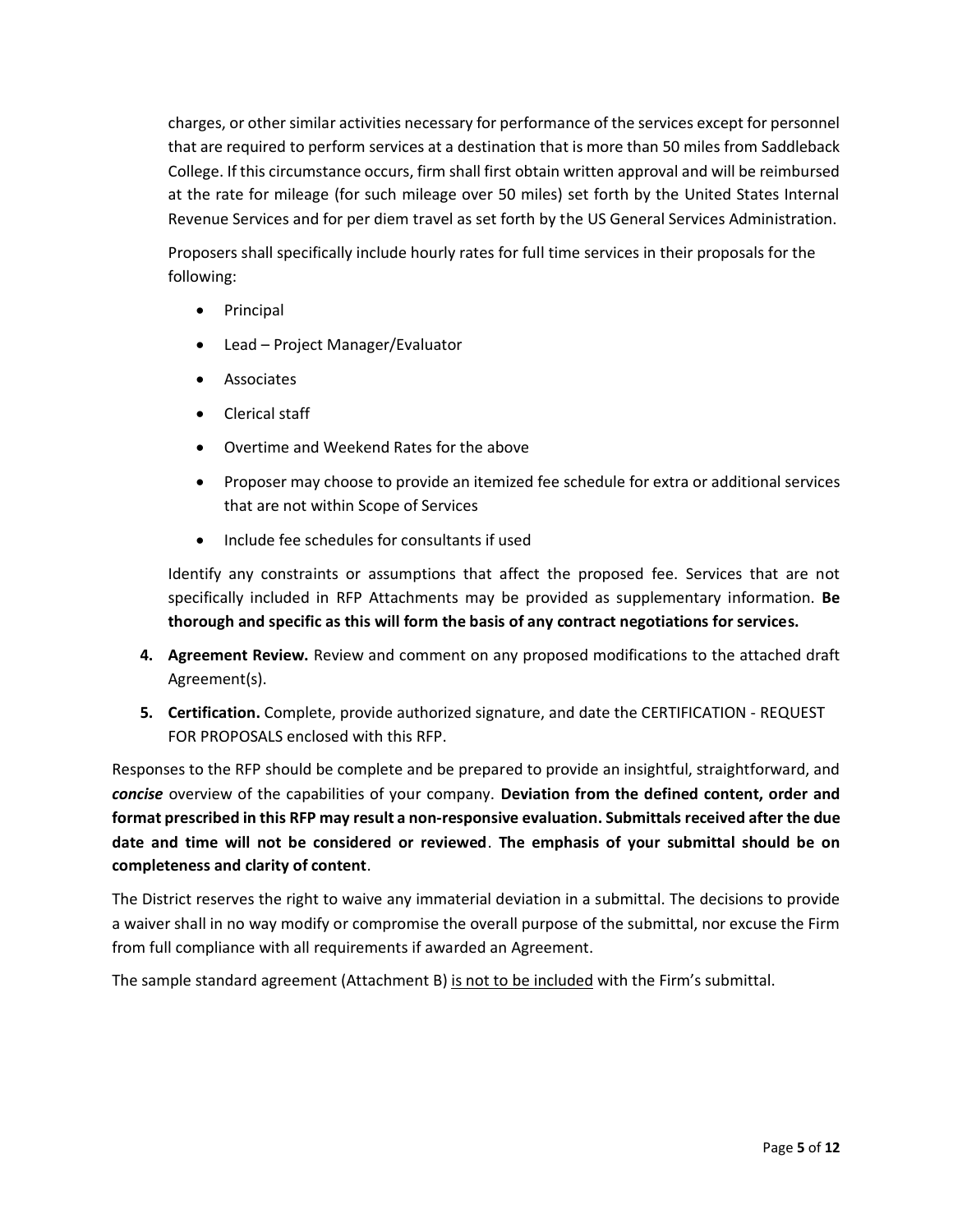charges, or other similar activities necessary for performance of the services except for personnel that are required to perform services at a destination that is more than 50 miles from Saddleback College. If this circumstance occurs, firm shall first obtain written approval and will be reimbursed at the rate for mileage (for such mileage over 50 miles) set forth by the United States Internal Revenue Services and for per diem travel as set forth by the US General Services Administration.

Proposers shall specifically include hourly rates for full time services in their proposals for the following:

- Principal
- Lead Project Manager/Evaluator
- Associates
- Clerical staff
- Overtime and Weekend Rates for the above
- Proposer may choose to provide an itemized fee schedule for extra or additional services that are not within Scope of Services
- Include fee schedules for consultants if used

Identify any constraints or assumptions that affect the proposed fee. Services that are not specifically included in RFP Attachments may be provided as supplementary information. **Be thorough and specific as this will form the basis of any contract negotiations for services.**

- **4. Agreement Review.** Review and comment on any proposed modifications to the attached draft Agreement(s).
- **5. Certification.** Complete, provide authorized signature, and date the CERTIFICATION REQUEST FOR PROPOSALS enclosed with this RFP.

Responses to the RFP should be complete and be prepared to provide an insightful, straightforward, and *concise* overview of the capabilities of your company. **Deviation from the defined content, order and format prescribed in this RFP may result a non-responsive evaluation. Submittals received after the due date and time will not be considered or reviewed**. **The emphasis of your submittal should be on completeness and clarity of content**.

The District reserves the right to waive any immaterial deviation in a submittal. The decisions to provide a waiver shall in no way modify or compromise the overall purpose of the submittal, nor excuse the Firm from full compliance with all requirements if awarded an Agreement.

The sample standard agreement (Attachment B) is not to be included with the Firm's submittal.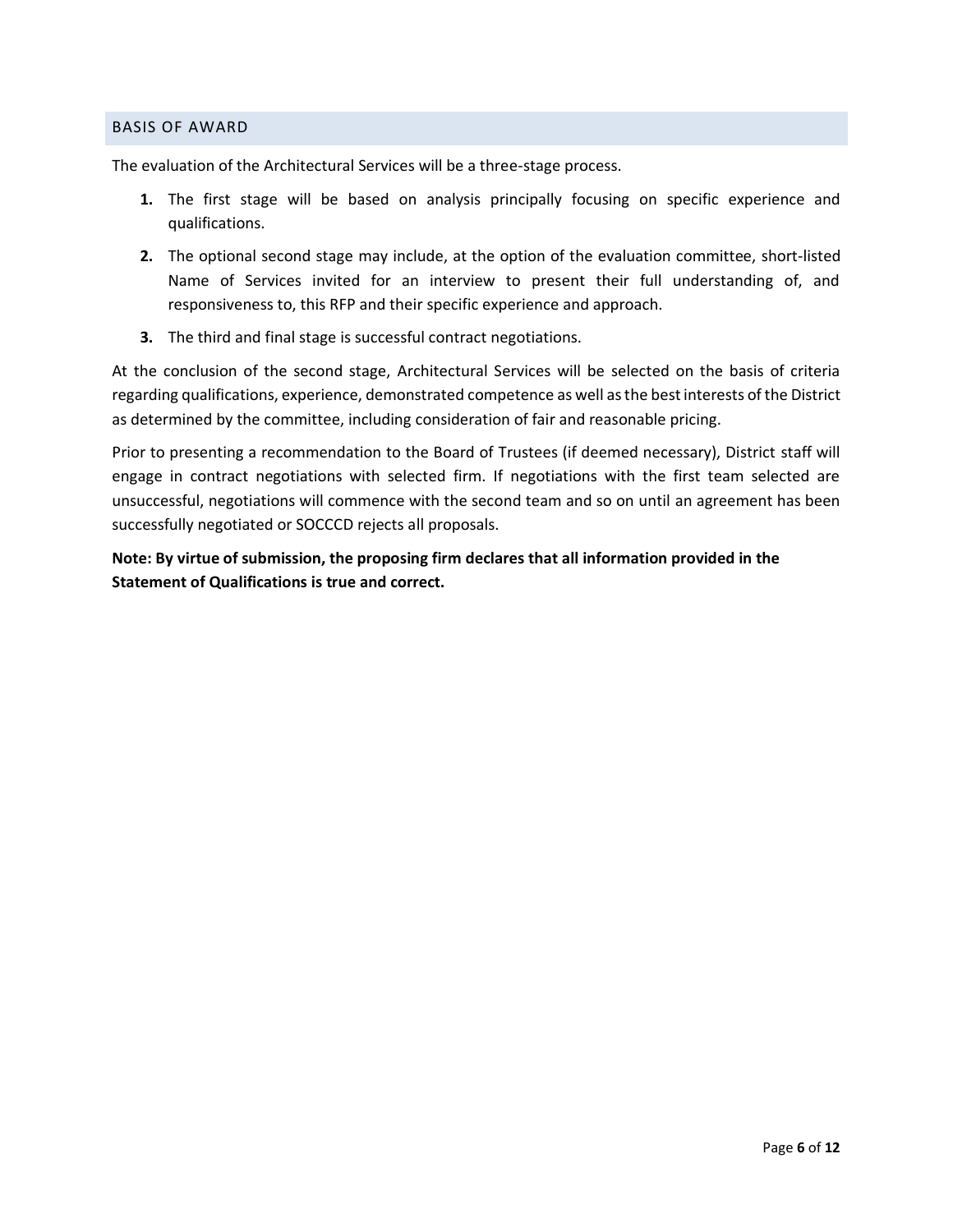#### BASIS OF AWARD

The evaluation of the Architectural Services will be a three-stage process.

- **1.** The first stage will be based on analysis principally focusing on specific experience and qualifications.
- **2.** The optional second stage may include, at the option of the evaluation committee, short-listed Name of Services invited for an interview to present their full understanding of, and responsiveness to, this RFP and their specific experience and approach.
- **3.** The third and final stage is successful contract negotiations.

At the conclusion of the second stage, Architectural Services will be selected on the basis of criteria regarding qualifications, experience, demonstrated competence as well as the best interests of the District as determined by the committee, including consideration of fair and reasonable pricing.

Prior to presenting a recommendation to the Board of Trustees (if deemed necessary), District staff will engage in contract negotiations with selected firm. If negotiations with the first team selected are unsuccessful, negotiations will commence with the second team and so on until an agreement has been successfully negotiated or SOCCCD rejects all proposals.

**Note: By virtue of submission, the proposing firm declares that all information provided in the Statement of Qualifications is true and correct.**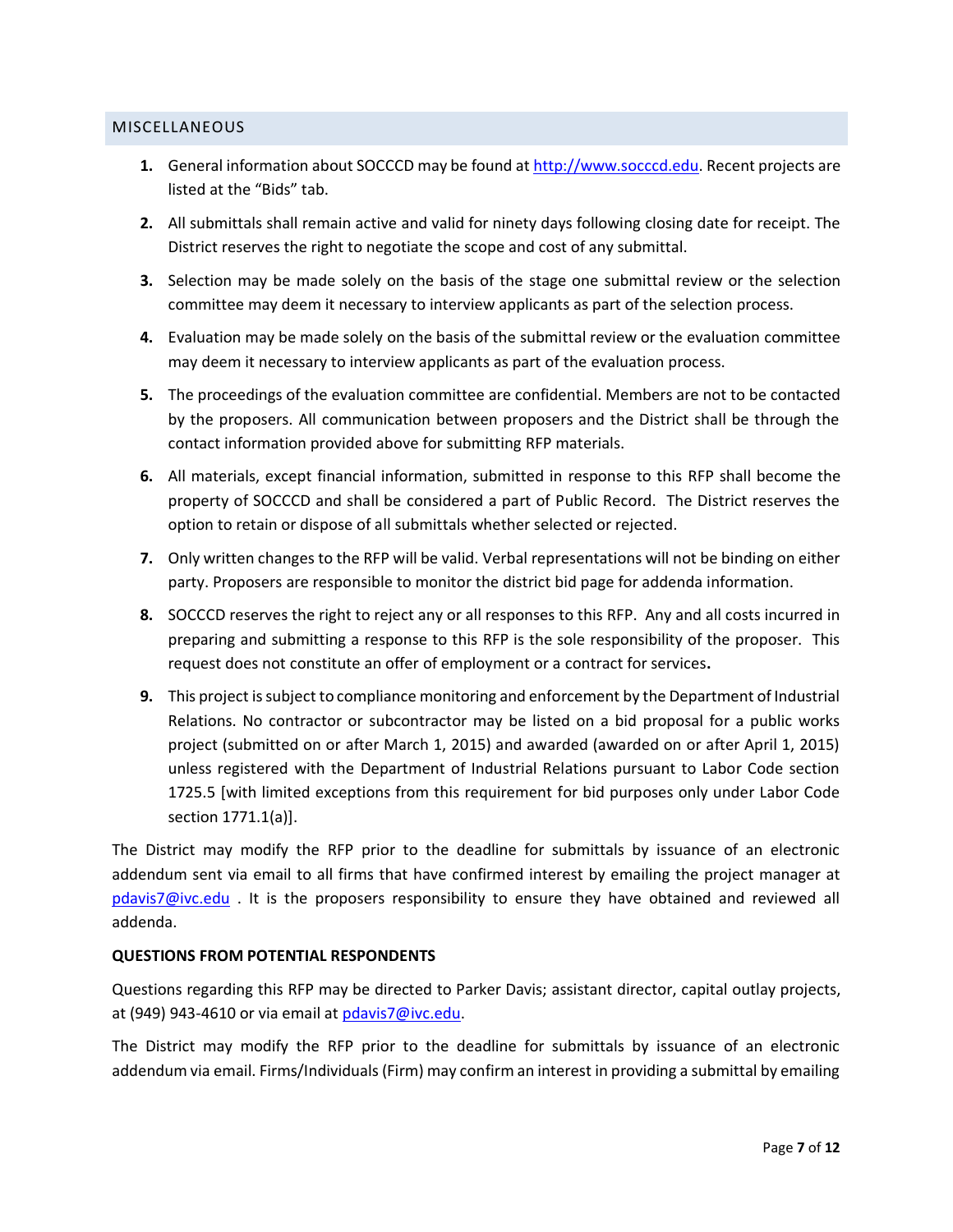### **MISCELLANEOUS**

- **1.** General information about SOCCCD may be found a[t http://www.socccd.edu.](http://www.socccd.edu/) Recent projects are listed at the "Bids" tab.
- **2.** All submittals shall remain active and valid for ninety days following closing date for receipt. The District reserves the right to negotiate the scope and cost of any submittal.
- **3.** Selection may be made solely on the basis of the stage one submittal review or the selection committee may deem it necessary to interview applicants as part of the selection process.
- **4.** Evaluation may be made solely on the basis of the submittal review or the evaluation committee may deem it necessary to interview applicants as part of the evaluation process.
- **5.** The proceedings of the evaluation committee are confidential. Members are not to be contacted by the proposers. All communication between proposers and the District shall be through the contact information provided above for submitting RFP materials.
- **6.** All materials, except financial information, submitted in response to this RFP shall become the property of SOCCCD and shall be considered a part of Public Record. The District reserves the option to retain or dispose of all submittals whether selected or rejected.
- **7.** Only written changes to the RFP will be valid. Verbal representations will not be binding on either party. Proposers are responsible to monitor the district bid page for addenda information.
- **8.** SOCCCD reserves the right to reject any or all responses to this RFP. Any and all costs incurred in preparing and submitting a response to this RFP is the sole responsibility of the proposer. This request does not constitute an offer of employment or a contract for services**.**
- **9.** This project is subject to compliance monitoring and enforcement by the Department of Industrial Relations. No contractor or subcontractor may be listed on a bid proposal for a public works project (submitted on or after March 1, 2015) and awarded (awarded on or after April 1, 2015) unless registered with the Department of Industrial Relations pursuant to Labor Code section 1725.5 [with limited exceptions from this requirement for bid purposes only under Labor Code section 1771.1(a)].

The District may modify the RFP prior to the deadline for submittals by issuance of an electronic addendum sent via email to all firms that have confirmed interest by emailing the project manager at [pdavis7@ivc.edu](mailto:pdavis7@ivc.edu) . It is the proposers responsibility to ensure they have obtained and reviewed all addenda.

#### **QUESTIONS FROM POTENTIAL RESPONDENTS**

Questions regarding this RFP may be directed to Parker Davis; assistant director, capital outlay projects, at (949) 943-4610 or via email at [pdavis7@ivc.edu.](mailto:pdavis7@ivc.edu)

The District may modify the RFP prior to the deadline for submittals by issuance of an electronic addendum via email. Firms/Individuals (Firm) may confirm an interest in providing a submittal by emailing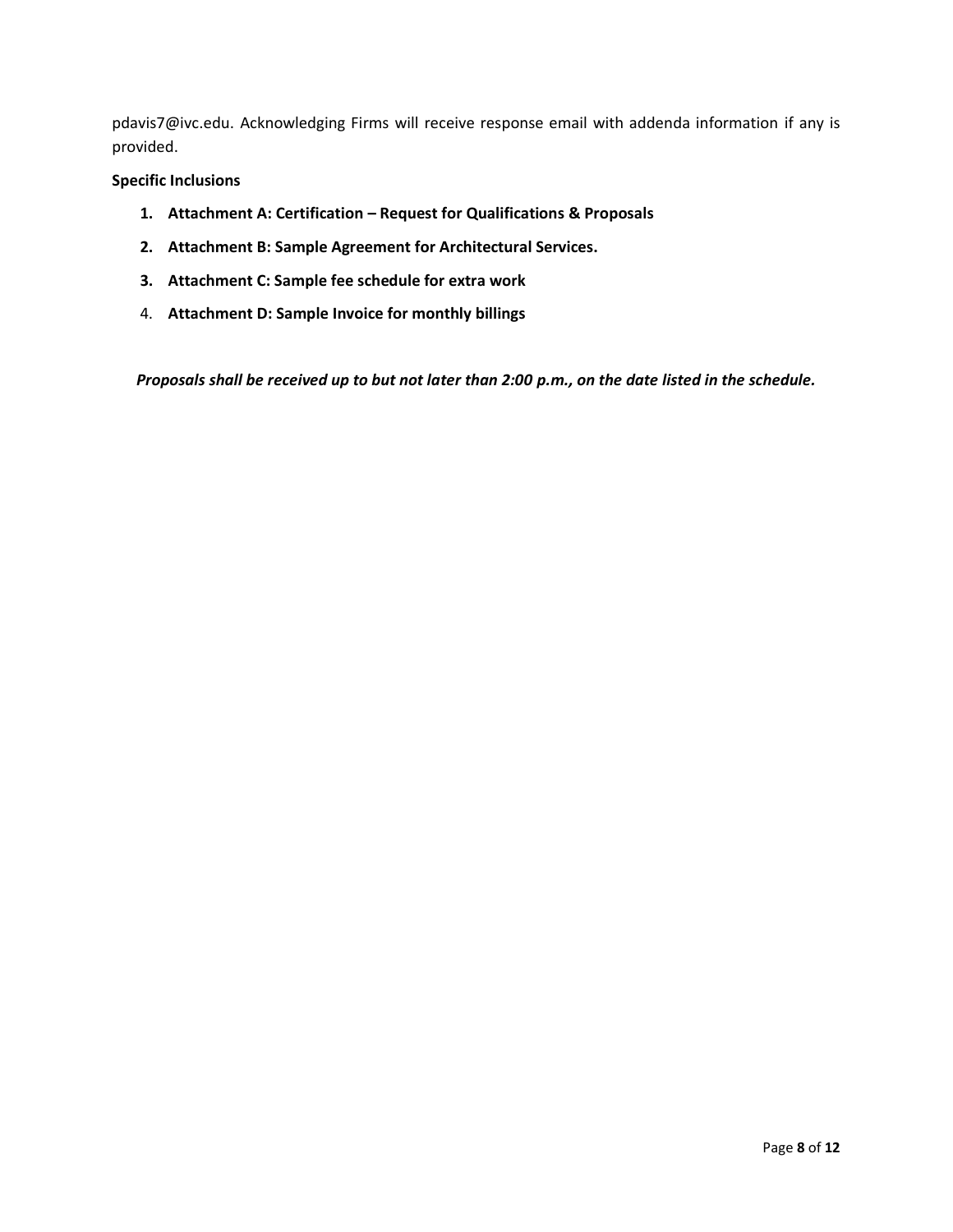pdavis7@ivc.edu. Acknowledging Firms will receive response email with addenda information if any is provided.

### **Specific Inclusions**

- **1. Attachment A: Certification – Request for Qualifications & Proposals**
- **2. Attachment B: Sample Agreement for Architectural Services.**
- **3. Attachment C: Sample fee schedule for extra work**
- 4. **Attachment D: Sample Invoice for monthly billings**

*Proposals shall be received up to but not later than 2:00 p.m., on the date listed in the schedule.*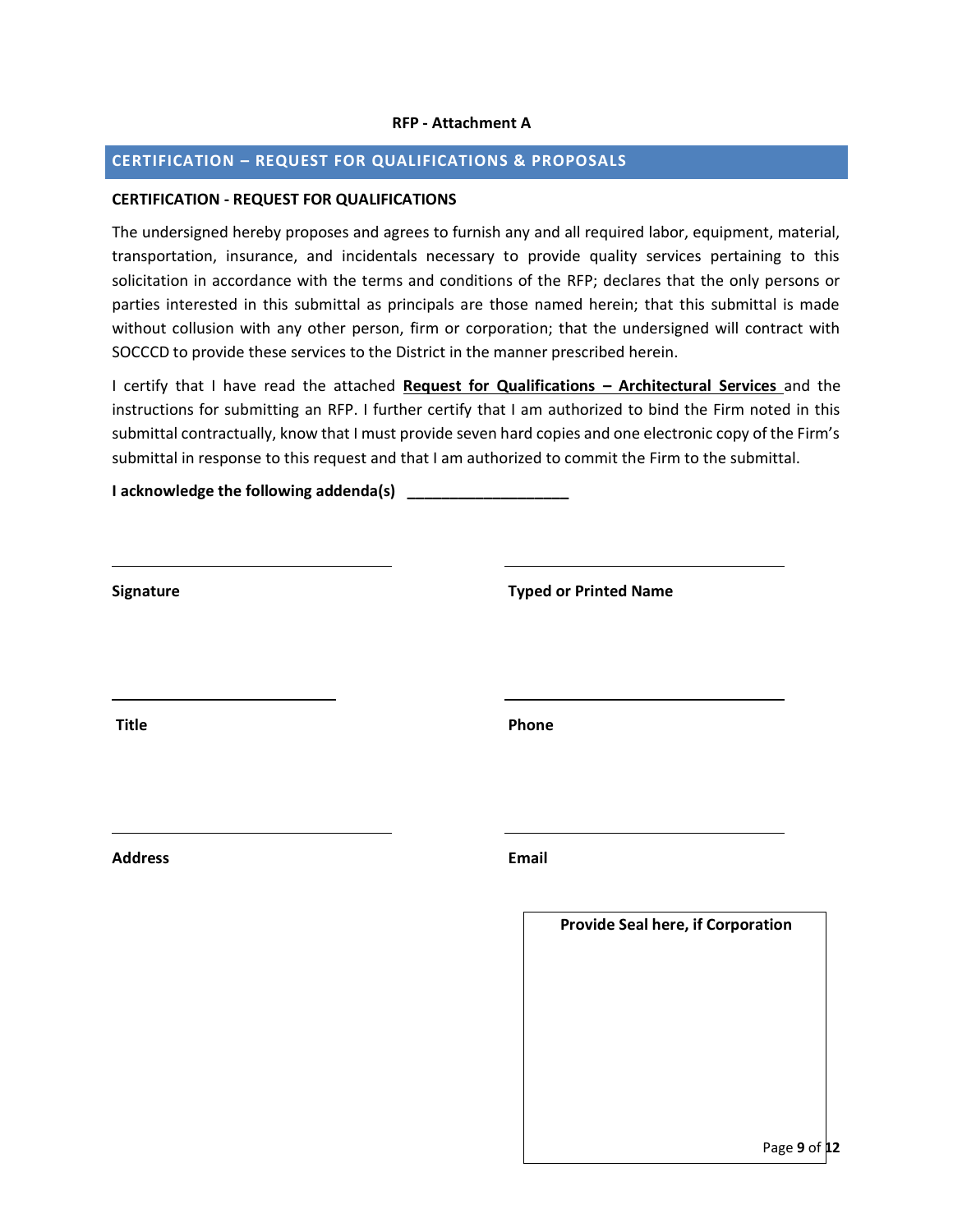#### **RFP - Attachment A**

### **CERTIFICATION – REQUEST FOR QUALIFICATIONS & PROPOSALS**

#### **CERTIFICATION - REQUEST FOR QUALIFICATIONS**

The undersigned hereby proposes and agrees to furnish any and all required labor, equipment, material, transportation, insurance, and incidentals necessary to provide quality services pertaining to this solicitation in accordance with the terms and conditions of the RFP; declares that the only persons or parties interested in this submittal as principals are those named herein; that this submittal is made without collusion with any other person, firm or corporation; that the undersigned will contract with SOCCCD to provide these services to the District in the manner prescribed herein.

I certify that I have read the attached **Request for Qualifications – Architectural Services** and the instructions for submitting an RFP. I further certify that I am authorized to bind the Firm noted in this submittal contractually, know that I must provide seven hard copies and one electronic copy of the Firm's submittal in response to this request and that I am authorized to commit the Firm to the submittal.

**I acknowledge the following addenda(s) \_\_\_\_\_\_\_\_\_\_\_\_\_\_\_\_\_\_\_**

| Signature      | <b>Typed or Printed Name</b>             |
|----------------|------------------------------------------|
| <b>Title</b>   | Phone                                    |
| <b>Address</b> | Email                                    |
|                | <b>Provide Seal here, if Corporation</b> |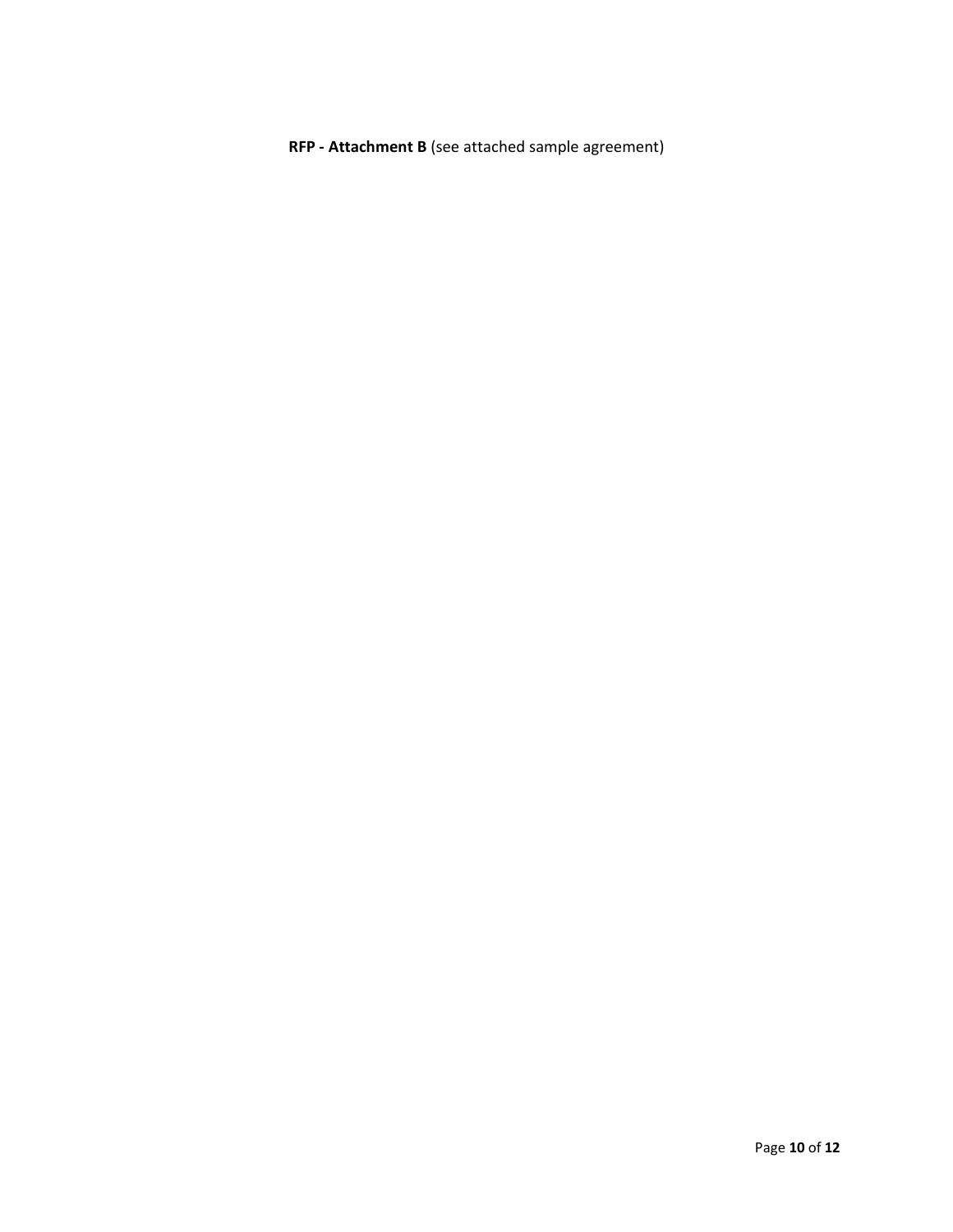**RFP - Attachment B** (see attached sample agreement)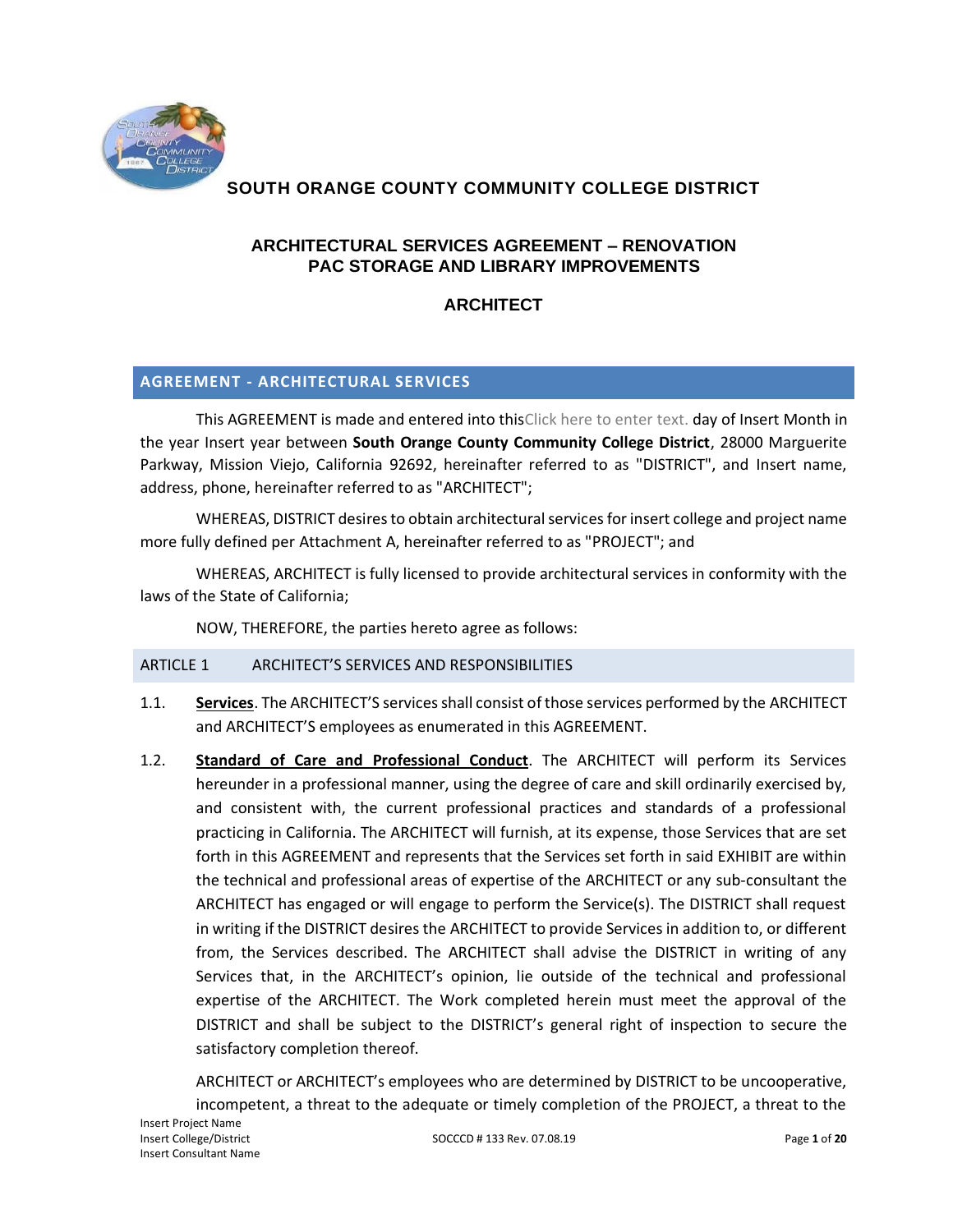

# **SOUTH ORANGE COUNTY COMMUNITY COLLEGE DISTRICT**

# **ARCHITECTURAL SERVICES AGREEMENT – RENOVATION PAC STORAGE AND LIBRARY IMPROVEMENTS**

# **ARCHITECT**

## **AGREEMENT - ARCHITECTURAL SERVICES**

This AGREEMENT is made and entered into thisClick here to enter text. day of Insert Month in the year Insert year between **South Orange County Community College District**, 28000 Marguerite Parkway, Mission Viejo, California 92692, hereinafter referred to as "DISTRICT", and Insert name, address, phone, hereinafter referred to as "ARCHITECT";

WHEREAS, DISTRICT desires to obtain architectural services for insert college and project name more fully defined per Attachment A, hereinafter referred to as "PROJECT"; and

WHEREAS, ARCHITECT is fully licensed to provide architectural services in conformity with the laws of the State of California;

NOW, THEREFORE, the parties hereto agree as follows:

### ARTICLE 1 ARCHITECT'S SERVICES AND RESPONSIBILITIES

- 1.1. **Services**. The ARCHITECT'S services shall consist of those services performed by the ARCHITECT and ARCHITECT'S employees as enumerated in this AGREEMENT.
- 1.2. **Standard of Care and Professional Conduct**. The ARCHITECT will perform its Services hereunder in a professional manner, using the degree of care and skill ordinarily exercised by, and consistent with, the current professional practices and standards of a professional practicing in California. The ARCHITECT will furnish, at its expense, those Services that are set forth in this AGREEMENT and represents that the Services set forth in said EXHIBIT are within the technical and professional areas of expertise of the ARCHITECT or any sub-consultant the ARCHITECT has engaged or will engage to perform the Service(s). The DISTRICT shall request in writing if the DISTRICT desires the ARCHITECT to provide Services in addition to, or different from, the Services described. The ARCHITECT shall advise the DISTRICT in writing of any Services that, in the ARCHITECT's opinion, lie outside of the technical and professional expertise of the ARCHITECT. The Work completed herein must meet the approval of the DISTRICT and shall be subject to the DISTRICT's general right of inspection to secure the satisfactory completion thereof.

ARCHITECT or ARCHITECT's employees who are determined by DISTRICT to be uncooperative, incompetent, a threat to the adequate or timely completion of the PROJECT, a threat to the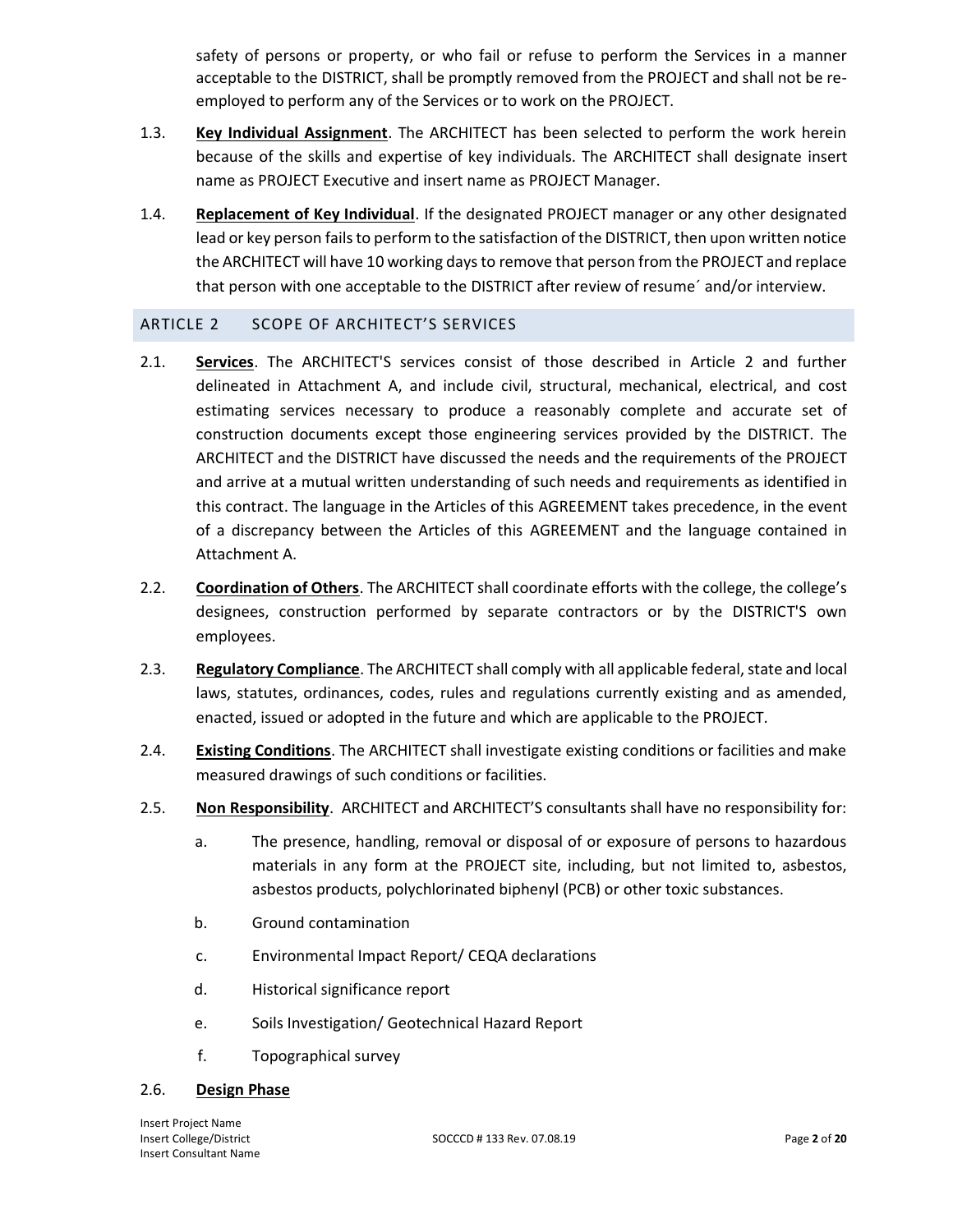safety of persons or property, or who fail or refuse to perform the Services in a manner acceptable to the DISTRICT, shall be promptly removed from the PROJECT and shall not be reemployed to perform any of the Services or to work on the PROJECT.

- 1.3. **Key Individual Assignment**. The ARCHITECT has been selected to perform the work herein because of the skills and expertise of key individuals. The ARCHITECT shall designate insert name as PROJECT Executive and insert name as PROJECT Manager.
- 1.4. **Replacement of Key Individual**. If the designated PROJECT manager or any other designated lead or key person fails to perform to the satisfaction of the DISTRICT, then upon written notice the ARCHITECT will have 10 working days to remove that person from the PROJECT and replace that person with one acceptable to the DISTRICT after review of resume´ and/or interview.

## ARTICLE 2 SCOPE OF ARCHITECT'S SERVICES

- 2.1. **Services**. The ARCHITECT'S services consist of those described in Article 2 and further delineated in Attachment A, and include civil, structural, mechanical, electrical, and cost estimating services necessary to produce a reasonably complete and accurate set of construction documents except those engineering services provided by the DISTRICT. The ARCHITECT and the DISTRICT have discussed the needs and the requirements of the PROJECT and arrive at a mutual written understanding of such needs and requirements as identified in this contract. The language in the Articles of this AGREEMENT takes precedence, in the event of a discrepancy between the Articles of this AGREEMENT and the language contained in Attachment A.
- 2.2. **Coordination of Others**. The ARCHITECT shall coordinate efforts with the college, the college's designees, construction performed by separate contractors or by the DISTRICT'S own employees.
- 2.3. **Regulatory Compliance**. The ARCHITECT shall comply with all applicable federal, state and local laws, statutes, ordinances, codes, rules and regulations currently existing and as amended, enacted, issued or adopted in the future and which are applicable to the PROJECT.
- 2.4. **Existing Conditions**. The ARCHITECT shall investigate existing conditions or facilities and make measured drawings of such conditions or facilities.
- 2.5. **Non Responsibility**. ARCHITECT and ARCHITECT'S consultants shall have no responsibility for:
	- a. The presence, handling, removal or disposal of or exposure of persons to hazardous materials in any form at the PROJECT site, including, but not limited to, asbestos, asbestos products, polychlorinated biphenyl (PCB) or other toxic substances.
	- b. Ground contamination
	- c. Environmental Impact Report/ CEQA declarations
	- d. Historical significance report
	- e. Soils Investigation/ Geotechnical Hazard Report
	- f. Topographical survey

## 2.6. **Design Phase**

Insert Project Name Insert Consultant Name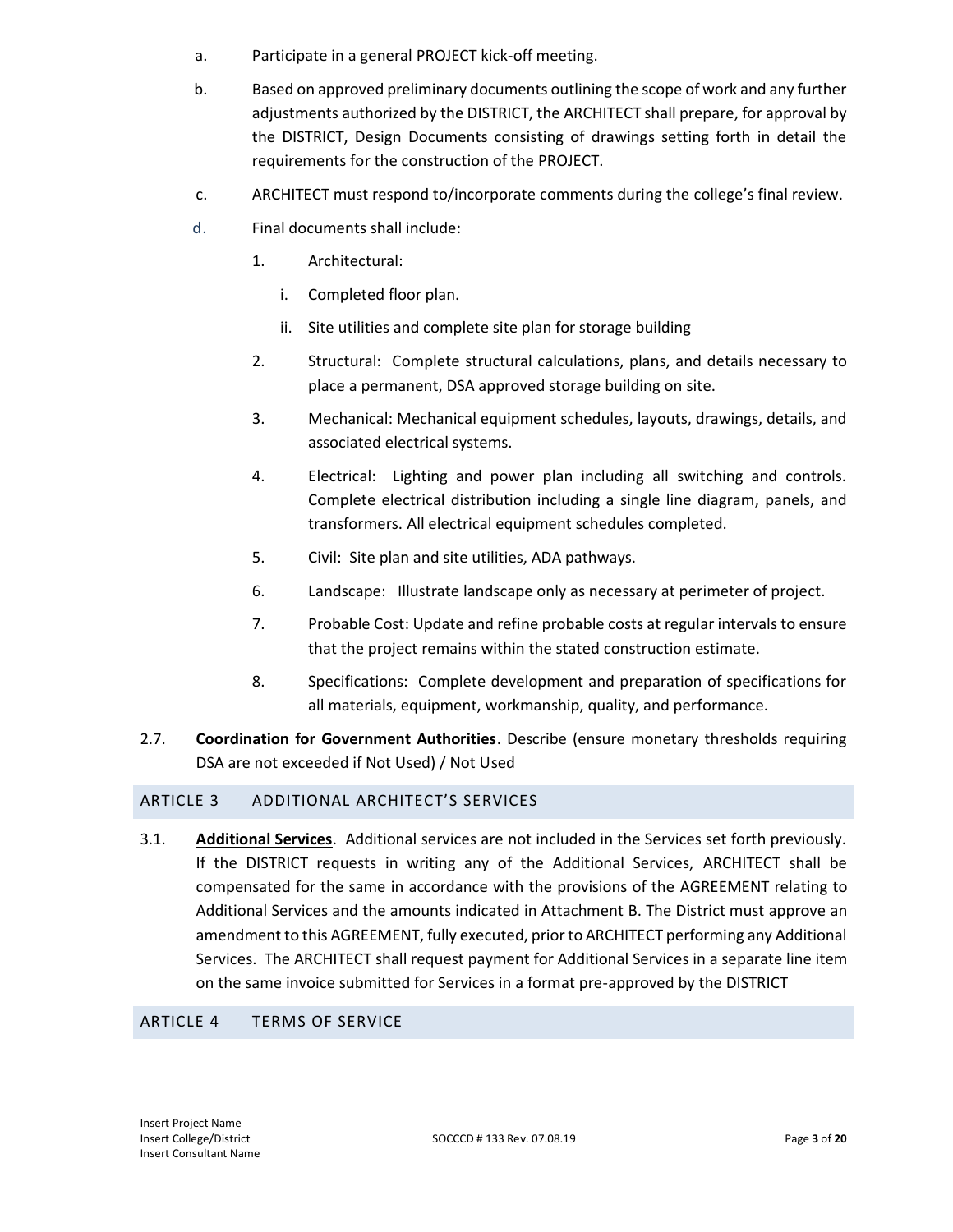- a. Participate in a general PROJECT kick-off meeting.
- b. Based on approved preliminary documents outlining the scope of work and any further adjustments authorized by the DISTRICT, the ARCHITECT shall prepare, for approval by the DISTRICT, Design Documents consisting of drawings setting forth in detail the requirements for the construction of the PROJECT.
- c. ARCHITECT must respond to/incorporate comments during the college's final review.
- d. Final documents shall include:
	- 1. Architectural:
		- i. Completed floor plan.
		- ii. Site utilities and complete site plan for storage building
	- 2. Structural: Complete structural calculations, plans, and details necessary to place a permanent, DSA approved storage building on site.
	- 3. Mechanical: Mechanical equipment schedules, layouts, drawings, details, and associated electrical systems.
	- 4. Electrical: Lighting and power plan including all switching and controls. Complete electrical distribution including a single line diagram, panels, and transformers. All electrical equipment schedules completed.
	- 5. Civil: Site plan and site utilities, ADA pathways.
	- 6. Landscape: Illustrate landscape only as necessary at perimeter of project.
	- 7. Probable Cost: Update and refine probable costs at regular intervals to ensure that the project remains within the stated construction estimate.
	- 8. Specifications: Complete development and preparation of specifications for all materials, equipment, workmanship, quality, and performance.
- 2.7. **Coordination for Government Authorities**. Describe (ensure monetary thresholds requiring DSA are not exceeded if Not Used) / Not Used

### ARTICLE 3 ADDITIONAL ARCHITECT'S SERVICES

3.1. **Additional Services**.Additional services are not included in the Services set forth previously. If the DISTRICT requests in writing any of the Additional Services, ARCHITECT shall be compensated for the same in accordance with the provisions of the AGREEMENT relating to Additional Services and the amounts indicated in Attachment B. The District must approve an amendment to this AGREEMENT, fully executed, prior to ARCHITECT performing any Additional Services. The ARCHITECT shall request payment for Additional Services in a separate line item on the same invoice submitted for Services in a format pre-approved by the DISTRICT

### ARTICLE 4 TERMS OF SERVICE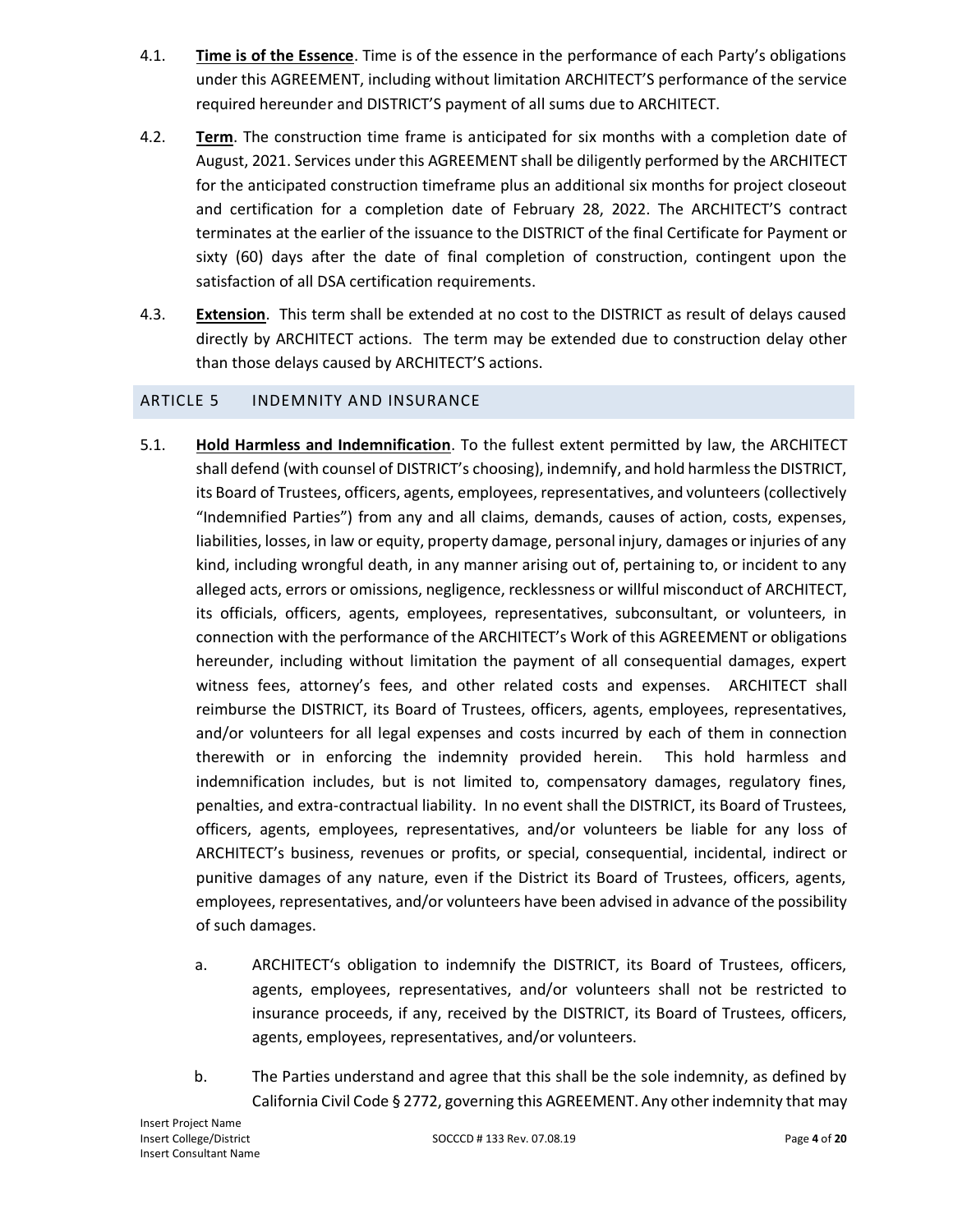- 4.1. **Time is of the Essence**. Time is of the essence in the performance of each Party's obligations under this AGREEMENT, including without limitation ARCHITECT'S performance of the service required hereunder and DISTRICT'S payment of all sums due to ARCHITECT.
- 4.2. **Term**. The construction time frame is anticipated for six months with a completion date of August, 2021. Services under this AGREEMENT shall be diligently performed by the ARCHITECT for the anticipated construction timeframe plus an additional six months for project closeout and certification for a completion date of February 28, 2022. The ARCHITECT'S contract terminates at the earlier of the issuance to the DISTRICT of the final Certificate for Payment or sixty (60) days after the date of final completion of construction, contingent upon the satisfaction of all DSA certification requirements.
- 4.3. **Extension**. This term shall be extended at no cost to the DISTRICT as result of delays caused directly by ARCHITECT actions. The term may be extended due to construction delay other than those delays caused by ARCHITECT'S actions.

## ARTICLE 5 INDEMNITY AND INSURANCE

- 5.1. **Hold Harmless and Indemnification**. To the fullest extent permitted by law, the ARCHITECT shall defend (with counsel of DISTRICT's choosing), indemnify, and hold harmless the DISTRICT, its Board of Trustees, officers, agents, employees, representatives, and volunteers (collectively "Indemnified Parties") from any and all claims, demands, causes of action, costs, expenses, liabilities, losses, in law or equity, property damage, personal injury, damages or injuries of any kind, including wrongful death, in any manner arising out of, pertaining to, or incident to any alleged acts, errors or omissions, negligence, recklessness or willful misconduct of ARCHITECT, its officials, officers, agents, employees, representatives, subconsultant, or volunteers, in connection with the performance of the ARCHITECT's Work of this AGREEMENT or obligations hereunder, including without limitation the payment of all consequential damages, expert witness fees, attorney's fees, and other related costs and expenses. ARCHITECT shall reimburse the DISTRICT, its Board of Trustees, officers, agents, employees, representatives, and/or volunteers for all legal expenses and costs incurred by each of them in connection therewith or in enforcing the indemnity provided herein. This hold harmless and indemnification includes, but is not limited to, compensatory damages, regulatory fines, penalties, and extra-contractual liability. In no event shall the DISTRICT, its Board of Trustees, officers, agents, employees, representatives, and/or volunteers be liable for any loss of ARCHITECT's business, revenues or profits, or special, consequential, incidental, indirect or punitive damages of any nature, even if the District its Board of Trustees, officers, agents, employees, representatives, and/or volunteers have been advised in advance of the possibility of such damages.
	- a. ARCHITECT's obligation to indemnify the DISTRICT, its Board of Trustees, officers, agents, employees, representatives, and/or volunteers shall not be restricted to insurance proceeds, if any, received by the DISTRICT, its Board of Trustees, officers, agents, employees, representatives, and/or volunteers.
	- b. The Parties understand and agree that this shall be the sole indemnity, as defined by California Civil Code § 2772, governing this AGREEMENT. Any other indemnity that may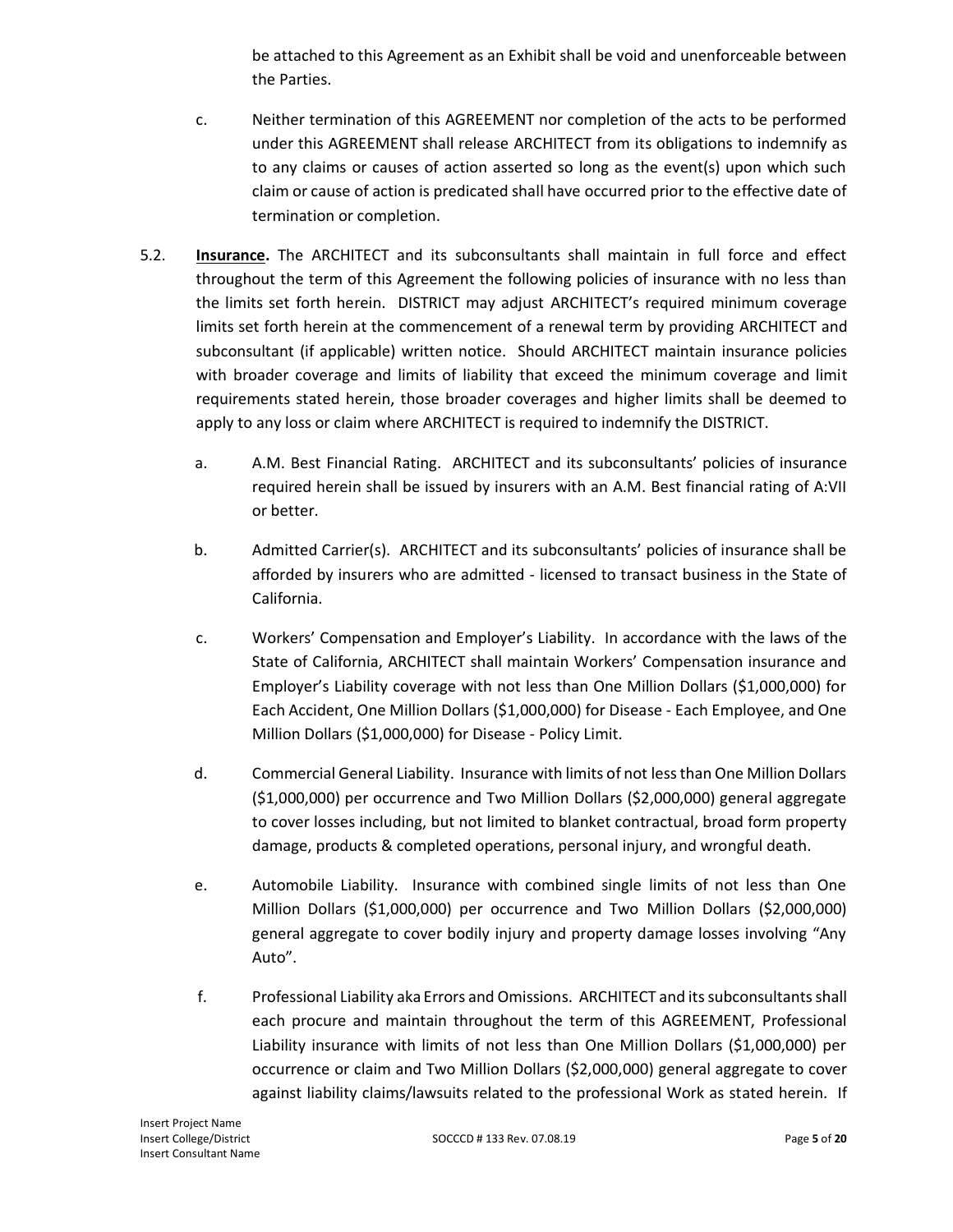be attached to this Agreement as an Exhibit shall be void and unenforceable between the Parties.

- c. Neither termination of this AGREEMENT nor completion of the acts to be performed under this AGREEMENT shall release ARCHITECT from its obligations to indemnify as to any claims or causes of action asserted so long as the event(s) upon which such claim or cause of action is predicated shall have occurred prior to the effective date of termination or completion.
- 5.2. **Insurance.** The ARCHITECT and its subconsultants shall maintain in full force and effect throughout the term of this Agreement the following policies of insurance with no less than the limits set forth herein. DISTRICT may adjust ARCHITECT's required minimum coverage limits set forth herein at the commencement of a renewal term by providing ARCHITECT and subconsultant (if applicable) written notice. Should ARCHITECT maintain insurance policies with broader coverage and limits of liability that exceed the minimum coverage and limit requirements stated herein, those broader coverages and higher limits shall be deemed to apply to any loss or claim where ARCHITECT is required to indemnify the DISTRICT.
	- a. A.M. Best Financial Rating. ARCHITECT and its subconsultants' policies of insurance required herein shall be issued by insurers with an A.M. Best financial rating of A:VII or better.
	- b. Admitted Carrier(s). ARCHITECT and its subconsultants' policies of insurance shall be afforded by insurers who are admitted - licensed to transact business in the State of California.
	- c. Workers' Compensation and Employer's Liability. In accordance with the laws of the State of California, ARCHITECT shall maintain Workers' Compensation insurance and Employer's Liability coverage with not less than One Million Dollars (\$1,000,000) for Each Accident, One Million Dollars (\$1,000,000) for Disease - Each Employee, and One Million Dollars (\$1,000,000) for Disease - Policy Limit.
	- d. Commercial General Liability. Insurance with limits of not less than One Million Dollars (\$1,000,000) per occurrence and Two Million Dollars (\$2,000,000) general aggregate to cover losses including, but not limited to blanket contractual, broad form property damage, products & completed operations, personal injury, and wrongful death.
	- e. Automobile Liability. Insurance with combined single limits of not less than One Million Dollars (\$1,000,000) per occurrence and Two Million Dollars (\$2,000,000) general aggregate to cover bodily injury and property damage losses involving "Any Auto".
	- f. Professional Liability aka Errors and Omissions. ARCHITECT and its subconsultants shall each procure and maintain throughout the term of this AGREEMENT, Professional Liability insurance with limits of not less than One Million Dollars (\$1,000,000) per occurrence or claim and Two Million Dollars (\$2,000,000) general aggregate to cover against liability claims/lawsuits related to the professional Work as stated herein. If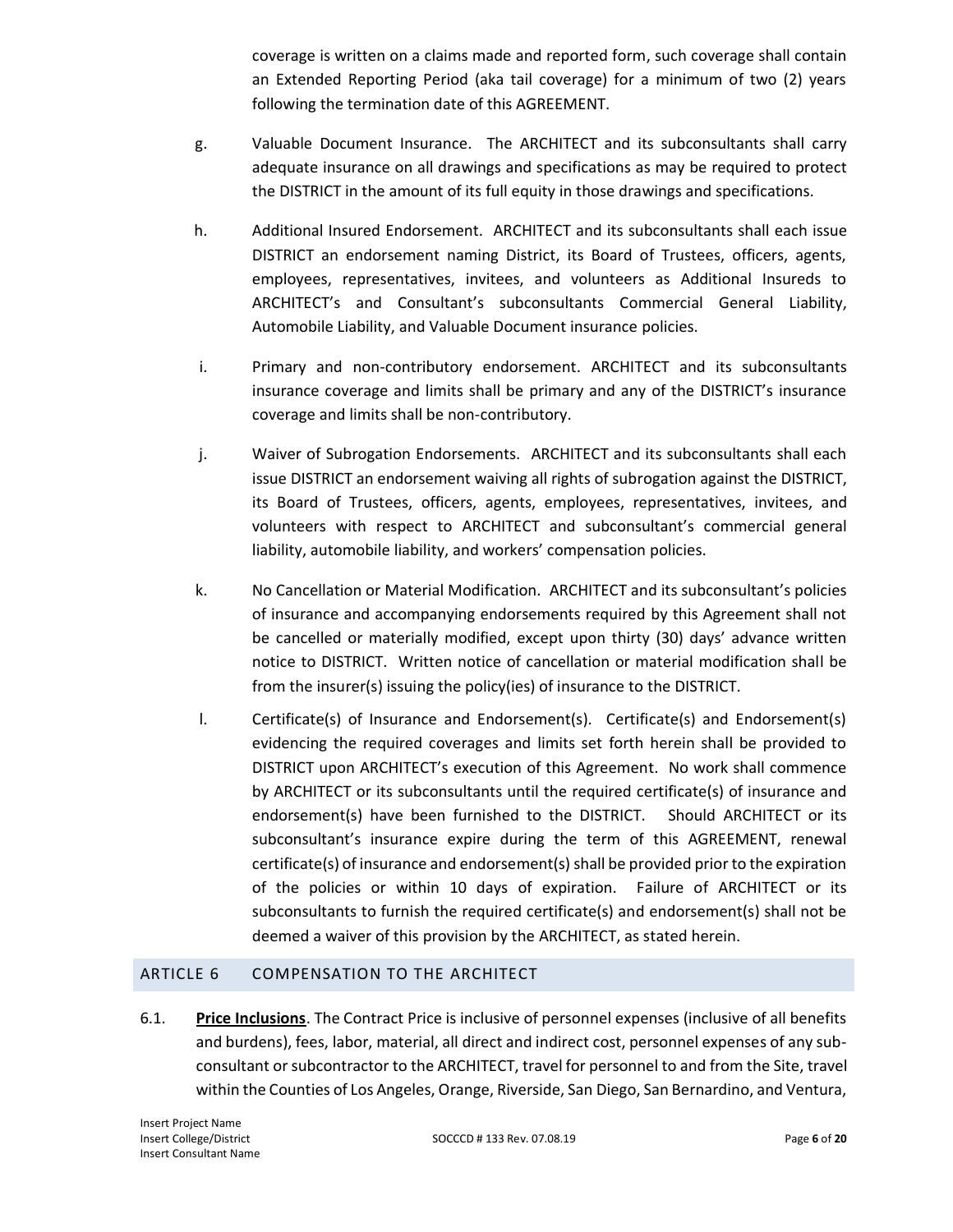coverage is written on a claims made and reported form, such coverage shall contain an Extended Reporting Period (aka tail coverage) for a minimum of two (2) years following the termination date of this AGREEMENT.

- g. Valuable Document Insurance. The ARCHITECT and its subconsultants shall carry adequate insurance on all drawings and specifications as may be required to protect the DISTRICT in the amount of its full equity in those drawings and specifications.
- h. Additional Insured Endorsement. ARCHITECT and its subconsultants shall each issue DISTRICT an endorsement naming District, its Board of Trustees, officers, agents, employees, representatives, invitees, and volunteers as Additional Insureds to ARCHITECT's and Consultant's subconsultants Commercial General Liability, Automobile Liability, and Valuable Document insurance policies.
- i. Primary and non-contributory endorsement. ARCHITECT and its subconsultants insurance coverage and limits shall be primary and any of the DISTRICT's insurance coverage and limits shall be non-contributory.
- j. Waiver of Subrogation Endorsements. ARCHITECT and its subconsultants shall each issue DISTRICT an endorsement waiving all rights of subrogation against the DISTRICT, its Board of Trustees, officers, agents, employees, representatives, invitees, and volunteers with respect to ARCHITECT and subconsultant's commercial general liability, automobile liability, and workers' compensation policies.
- k. No Cancellation or Material Modification. ARCHITECT and its subconsultant's policies of insurance and accompanying endorsements required by this Agreement shall not be cancelled or materially modified, except upon thirty (30) days' advance written notice to DISTRICT. Written notice of cancellation or material modification shall be from the insurer(s) issuing the policy(ies) of insurance to the DISTRICT.
- l. Certificate(s) of Insurance and Endorsement(s). Certificate(s) and Endorsement(s) evidencing the required coverages and limits set forth herein shall be provided to DISTRICT upon ARCHITECT's execution of this Agreement. No work shall commence by ARCHITECT or its subconsultants until the required certificate(s) of insurance and endorsement(s) have been furnished to the DISTRICT. Should ARCHITECT or its subconsultant's insurance expire during the term of this AGREEMENT, renewal certificate(s) of insurance and endorsement(s) shall be provided prior to the expiration of the policies or within 10 days of expiration. Failure of ARCHITECT or its subconsultants to furnish the required certificate(s) and endorsement(s) shall not be deemed a waiver of this provision by the ARCHITECT, as stated herein.

## ARTICLE 6 COMPENSATION TO THE ARCHITECT

6.1. **Price Inclusions**. The Contract Price is inclusive of personnel expenses (inclusive of all benefits and burdens), fees, labor, material, all direct and indirect cost, personnel expenses of any subconsultant or subcontractor to the ARCHITECT, travel for personnel to and from the Site, travel within the Counties of Los Angeles, Orange, Riverside, San Diego, San Bernardino, and Ventura,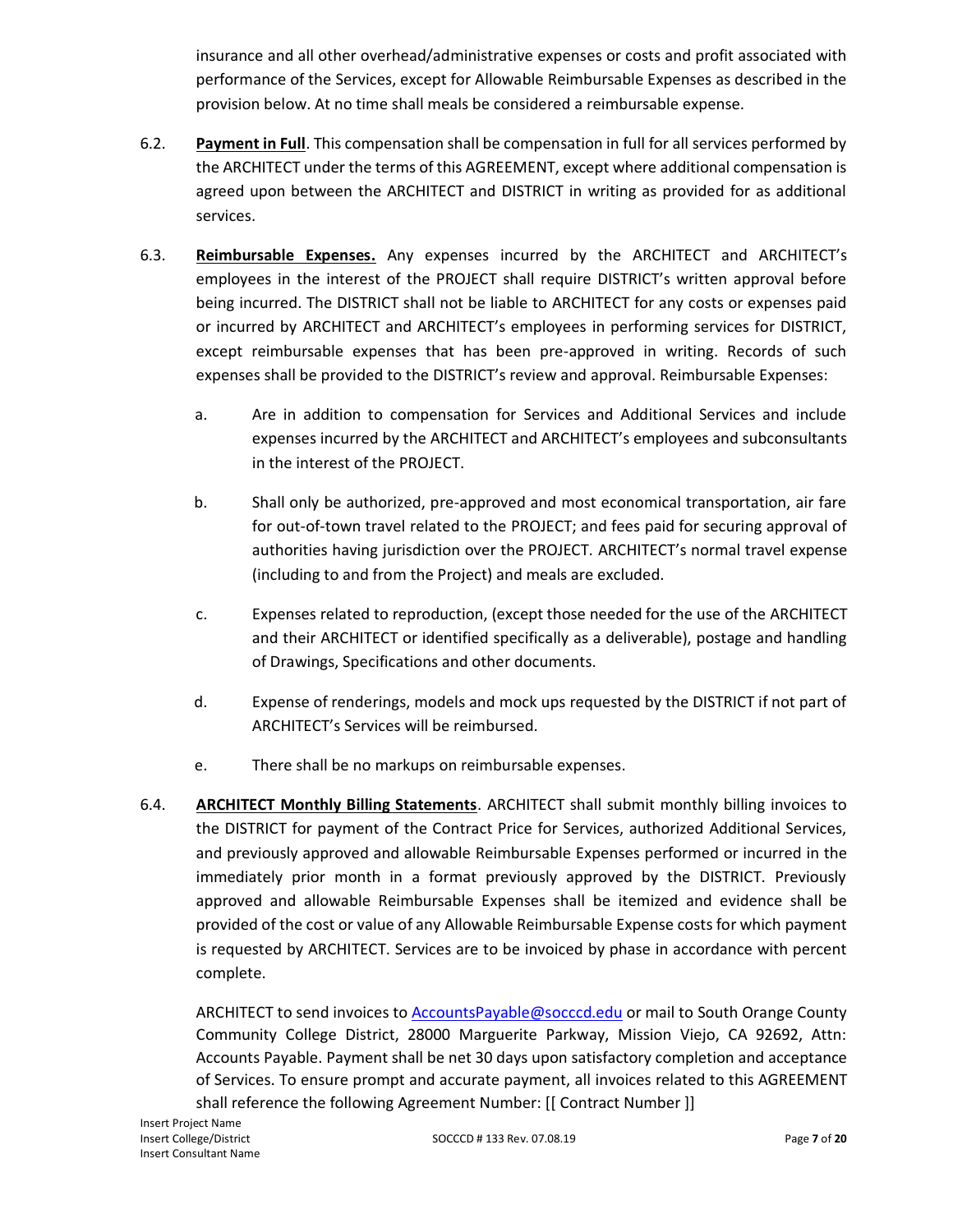insurance and all other overhead/administrative expenses or costs and profit associated with performance of the Services, except for Allowable Reimbursable Expenses as described in the provision below. At no time shall meals be considered a reimbursable expense.

- 6.2. **Payment in Full**. This compensation shall be compensation in full for all services performed by the ARCHITECT under the terms of this AGREEMENT, except where additional compensation is agreed upon between the ARCHITECT and DISTRICT in writing as provided for as additional services.
- 6.3. **Reimbursable Expenses.** Any expenses incurred by the ARCHITECT and ARCHITECT's employees in the interest of the PROJECT shall require DISTRICT's written approval before being incurred. The DISTRICT shall not be liable to ARCHITECT for any costs or expenses paid or incurred by ARCHITECT and ARCHITECT's employees in performing services for DISTRICT, except reimbursable expenses that has been pre-approved in writing. Records of such expenses shall be provided to the DISTRICT's review and approval. Reimbursable Expenses:
	- a. Are in addition to compensation for Services and Additional Services and include expenses incurred by the ARCHITECT and ARCHITECT's employees and subconsultants in the interest of the PROJECT.
	- b. Shall only be authorized, pre-approved and most economical transportation, air fare for out-of-town travel related to the PROJECT; and fees paid for securing approval of authorities having jurisdiction over the PROJECT. ARCHITECT's normal travel expense (including to and from the Project) and meals are excluded.
	- c. Expenses related to reproduction, (except those needed for the use of the ARCHITECT and their ARCHITECT or identified specifically as a deliverable), postage and handling of Drawings, Specifications and other documents.
	- d. Expense of renderings, models and mock ups requested by the DISTRICT if not part of ARCHITECT's Services will be reimbursed.
	- e. There shall be no markups on reimbursable expenses.
- 6.4. **ARCHITECT Monthly Billing Statements**. ARCHITECT shall submit monthly billing invoices to the DISTRICT for payment of the Contract Price for Services, authorized Additional Services, and previously approved and allowable Reimbursable Expenses performed or incurred in the immediately prior month in a format previously approved by the DISTRICT. Previously approved and allowable Reimbursable Expenses shall be itemized and evidence shall be provided of the cost or value of any Allowable Reimbursable Expense costs for which payment is requested by ARCHITECT. Services are to be invoiced by phase in accordance with percent complete.

ARCHITECT to send invoices t[o AccountsPayable@socccd.edu](file://///unicron.socccd.edu/facilities_planning/SOCCCD_ONLY/PROJECT%20FILES/ATEP/SC%20FIRST%20BLDG/1%20PRE-DESIGN/AccountsPayable@socccd.edu) or mail to South Orange County Community College District, 28000 Marguerite Parkway, Mission Viejo, CA 92692, Attn: Accounts Payable. Payment shall be net 30 days upon satisfactory completion and acceptance of Services. To ensure prompt and accurate payment, all invoices related to this AGREEMENT shall reference the following Agreement Number: [[ Contract Number ]]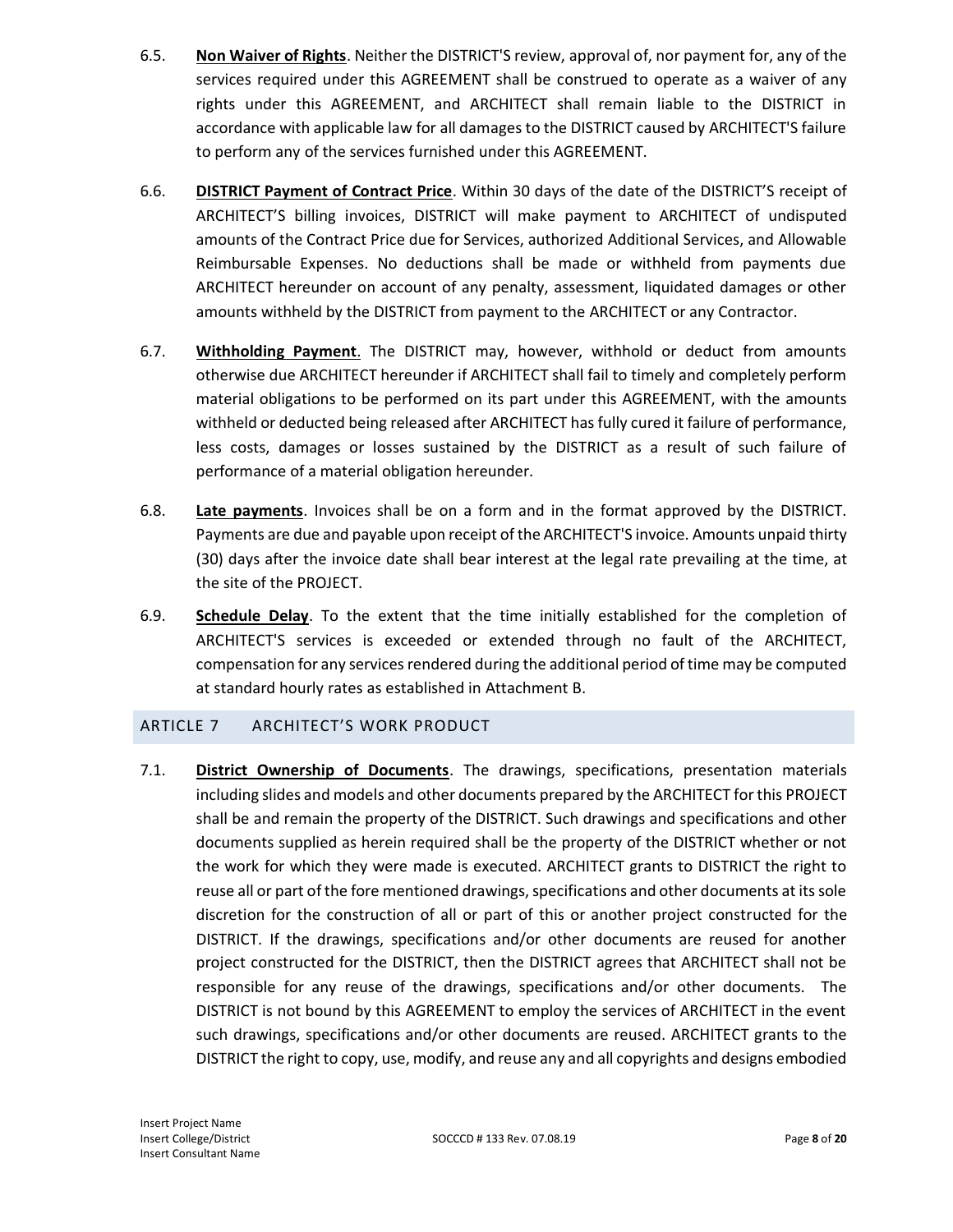- 6.5. **Non Waiver of Rights**. Neither the DISTRICT'S review, approval of, nor payment for, any of the services required under this AGREEMENT shall be construed to operate as a waiver of any rights under this AGREEMENT, and ARCHITECT shall remain liable to the DISTRICT in accordance with applicable law for all damages to the DISTRICT caused by ARCHITECT'S failure to perform any of the services furnished under this AGREEMENT.
- 6.6. **DISTRICT Payment of Contract Price**. Within 30 days of the date of the DISTRICT'S receipt of ARCHITECT'S billing invoices, DISTRICT will make payment to ARCHITECT of undisputed amounts of the Contract Price due for Services, authorized Additional Services, and Allowable Reimbursable Expenses. No deductions shall be made or withheld from payments due ARCHITECT hereunder on account of any penalty, assessment, liquidated damages or other amounts withheld by the DISTRICT from payment to the ARCHITECT or any Contractor.
- 6.7. **Withholding Payment**. The DISTRICT may, however, withhold or deduct from amounts otherwise due ARCHITECT hereunder if ARCHITECT shall fail to timely and completely perform material obligations to be performed on its part under this AGREEMENT, with the amounts withheld or deducted being released after ARCHITECT has fully cured it failure of performance, less costs, damages or losses sustained by the DISTRICT as a result of such failure of performance of a material obligation hereunder.
- 6.8. **Late payments**. Invoices shall be on a form and in the format approved by the DISTRICT. Payments are due and payable upon receipt of the ARCHITECT'S invoice. Amounts unpaid thirty (30) days after the invoice date shall bear interest at the legal rate prevailing at the time, at the site of the PROJECT.
- 6.9. **Schedule Delay**. To the extent that the time initially established for the completion of ARCHITECT'S services is exceeded or extended through no fault of the ARCHITECT, compensation for any services rendered during the additional period of time may be computed at standard hourly rates as established in Attachment B.

## ARTICLE 7 ARCHITECT'S WORK PRODUCT

7.1. **District Ownership of Documents**. The drawings, specifications, presentation materials including slides and models and other documents prepared by the ARCHITECT for this PROJECT shall be and remain the property of the DISTRICT. Such drawings and specifications and other documents supplied as herein required shall be the property of the DISTRICT whether or not the work for which they were made is executed. ARCHITECT grants to DISTRICT the right to reuse all or part of the fore mentioned drawings, specifications and other documents at its sole discretion for the construction of all or part of this or another project constructed for the DISTRICT. If the drawings, specifications and/or other documents are reused for another project constructed for the DISTRICT, then the DISTRICT agrees that ARCHITECT shall not be responsible for any reuse of the drawings, specifications and/or other documents. The DISTRICT is not bound by this AGREEMENT to employ the services of ARCHITECT in the event such drawings, specifications and/or other documents are reused. ARCHITECT grants to the DISTRICT the right to copy, use, modify, and reuse any and all copyrights and designs embodied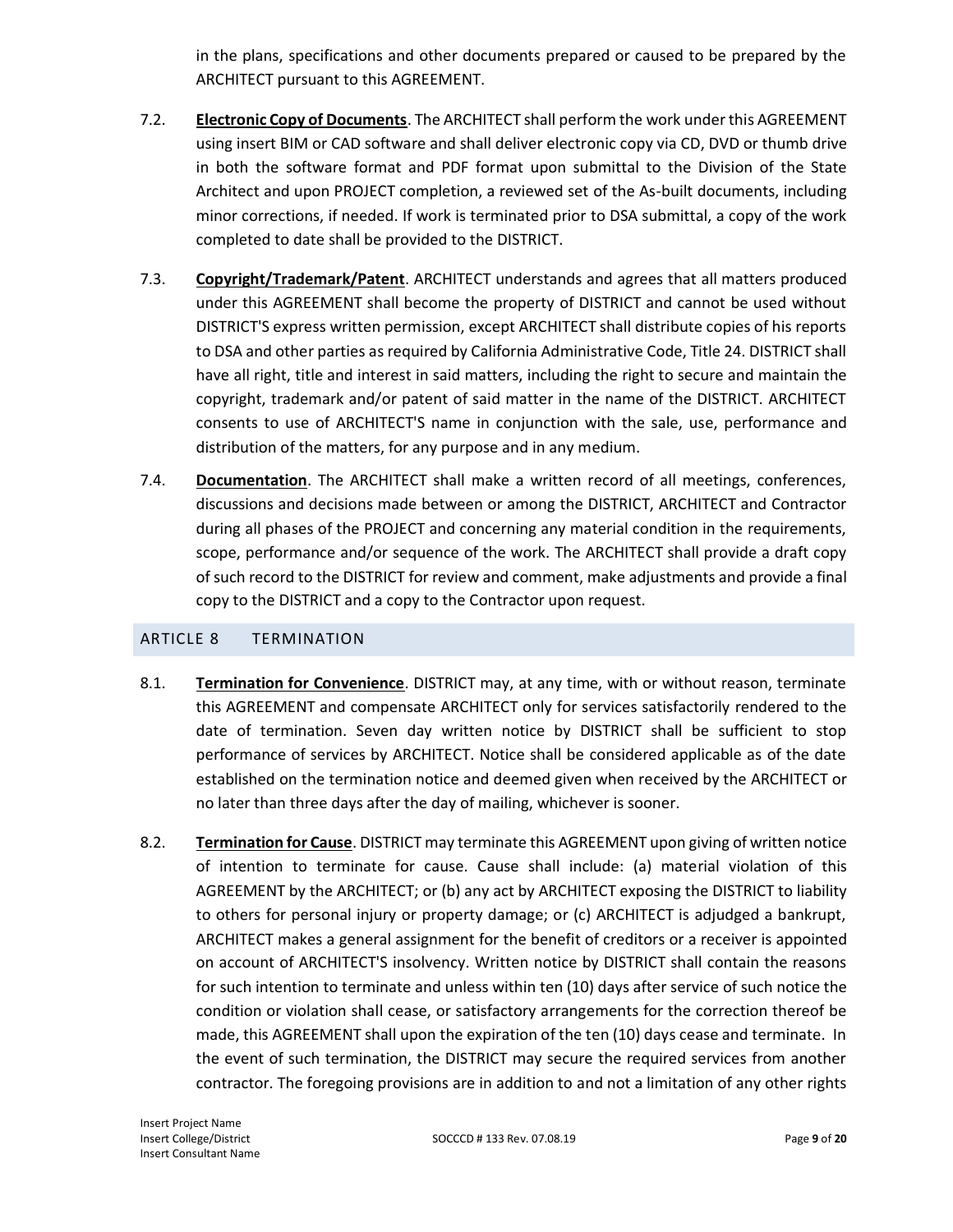in the plans, specifications and other documents prepared or caused to be prepared by the ARCHITECT pursuant to this AGREEMENT.

- 7.2. **Electronic Copy of Documents**. The ARCHITECT shall perform the work under this AGREEMENT using insert BIM or CAD software and shall deliver electronic copy via CD, DVD or thumb drive in both the software format and PDF format upon submittal to the Division of the State Architect and upon PROJECT completion, a reviewed set of the As-built documents, including minor corrections, if needed. If work is terminated prior to DSA submittal, a copy of the work completed to date shall be provided to the DISTRICT.
- 7.3. **Copyright/Trademark/Patent**. ARCHITECT understands and agrees that all matters produced under this AGREEMENT shall become the property of DISTRICT and cannot be used without DISTRICT'S express written permission, except ARCHITECT shall distribute copies of his reports to DSA and other parties as required by California Administrative Code, Title 24. DISTRICT shall have all right, title and interest in said matters, including the right to secure and maintain the copyright, trademark and/or patent of said matter in the name of the DISTRICT. ARCHITECT consents to use of ARCHITECT'S name in conjunction with the sale, use, performance and distribution of the matters, for any purpose and in any medium.
- 7.4. **Documentation**. The ARCHITECT shall make a written record of all meetings, conferences, discussions and decisions made between or among the DISTRICT, ARCHITECT and Contractor during all phases of the PROJECT and concerning any material condition in the requirements, scope, performance and/or sequence of the work. The ARCHITECT shall provide a draft copy of such record to the DISTRICT for review and comment, make adjustments and provide a final copy to the DISTRICT and a copy to the Contractor upon request.

## ARTICLE 8 TERMINATION

- 8.1. **Termination for Convenience**. DISTRICT may, at any time, with or without reason, terminate this AGREEMENT and compensate ARCHITECT only for services satisfactorily rendered to the date of termination. Seven day written notice by DISTRICT shall be sufficient to stop performance of services by ARCHITECT. Notice shall be considered applicable as of the date established on the termination notice and deemed given when received by the ARCHITECT or no later than three days after the day of mailing, whichever is sooner.
- 8.2. **Termination for Cause**. DISTRICT may terminate this AGREEMENT upon giving of written notice of intention to terminate for cause. Cause shall include: (a) material violation of this AGREEMENT by the ARCHITECT; or (b) any act by ARCHITECT exposing the DISTRICT to liability to others for personal injury or property damage; or (c) ARCHITECT is adjudged a bankrupt, ARCHITECT makes a general assignment for the benefit of creditors or a receiver is appointed on account of ARCHITECT'S insolvency. Written notice by DISTRICT shall contain the reasons for such intention to terminate and unless within ten (10) days after service of such notice the condition or violation shall cease, or satisfactory arrangements for the correction thereof be made, this AGREEMENT shall upon the expiration of the ten (10) days cease and terminate. In the event of such termination, the DISTRICT may secure the required services from another contractor. The foregoing provisions are in addition to and not a limitation of any other rights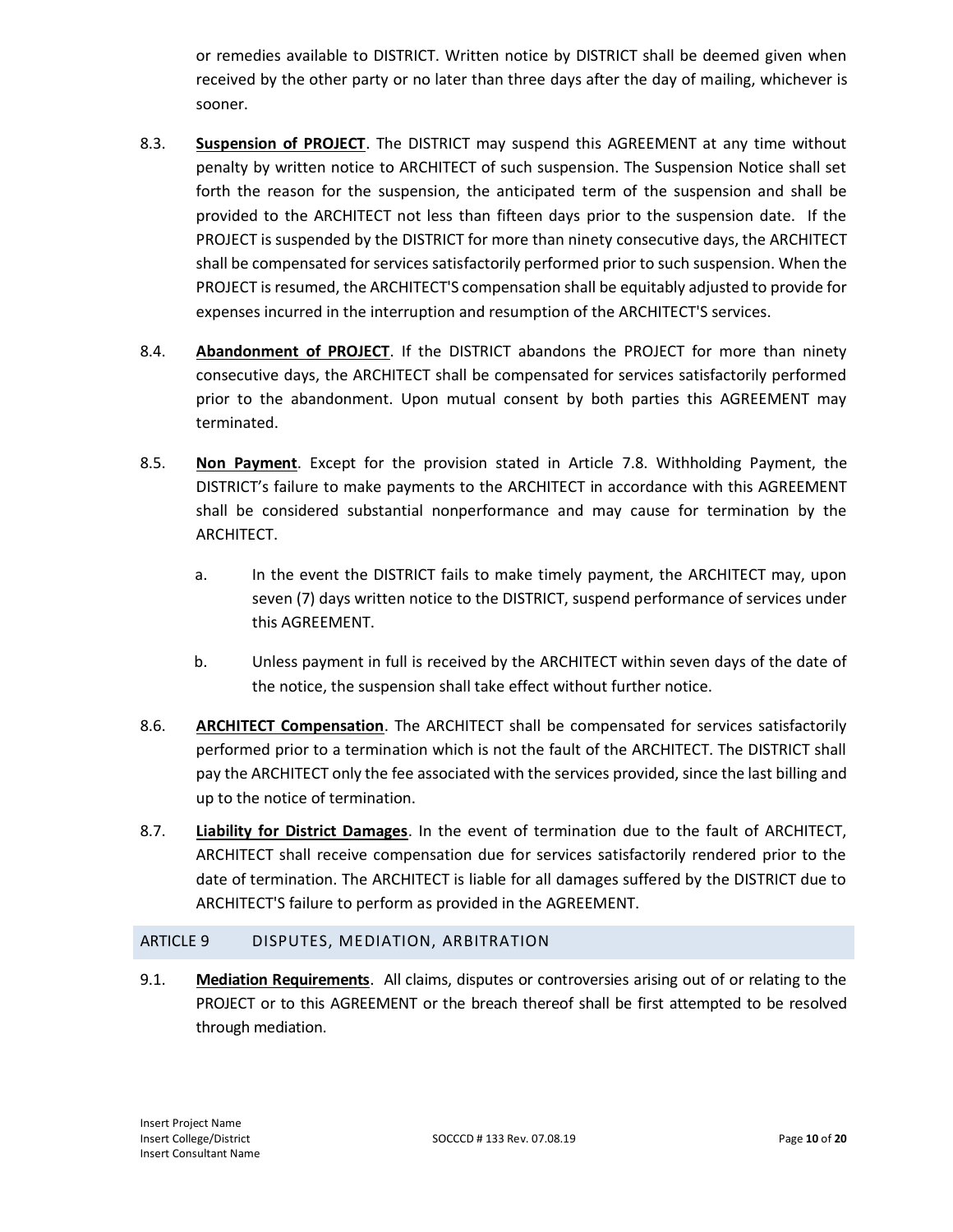or remedies available to DISTRICT. Written notice by DISTRICT shall be deemed given when received by the other party or no later than three days after the day of mailing, whichever is sooner.

- 8.3. **Suspension of PROJECT**. The DISTRICT may suspend this AGREEMENT at any time without penalty by written notice to ARCHITECT of such suspension. The Suspension Notice shall set forth the reason for the suspension, the anticipated term of the suspension and shall be provided to the ARCHITECT not less than fifteen days prior to the suspension date. If the PROJECT is suspended by the DISTRICT for more than ninety consecutive days, the ARCHITECT shall be compensated for services satisfactorily performed prior to such suspension. When the PROJECT is resumed, the ARCHITECT'S compensation shall be equitably adjusted to provide for expenses incurred in the interruption and resumption of the ARCHITECT'S services.
- 8.4. **Abandonment of PROJECT**. If the DISTRICT abandons the PROJECT for more than ninety consecutive days, the ARCHITECT shall be compensated for services satisfactorily performed prior to the abandonment. Upon mutual consent by both parties this AGREEMENT may terminated.
- 8.5. **Non Payment**. Except for the provision stated in Article 7.8. Withholding Payment, the DISTRICT's failure to make payments to the ARCHITECT in accordance with this AGREEMENT shall be considered substantial nonperformance and may cause for termination by the ARCHITECT.
	- a. In the event the DISTRICT fails to make timely payment, the ARCHITECT may, upon seven (7) days written notice to the DISTRICT, suspend performance of services under this AGREEMENT.
	- b. Unless payment in full is received by the ARCHITECT within seven days of the date of the notice, the suspension shall take effect without further notice.
- 8.6. **ARCHITECT Compensation**. The ARCHITECT shall be compensated for services satisfactorily performed prior to a termination which is not the fault of the ARCHITECT. The DISTRICT shall pay the ARCHITECT only the fee associated with the services provided, since the last billing and up to the notice of termination.
- 8.7. **Liability for District Damages**. In the event of termination due to the fault of ARCHITECT, ARCHITECT shall receive compensation due for services satisfactorily rendered prior to the date of termination. The ARCHITECT is liable for all damages suffered by the DISTRICT due to ARCHITECT'S failure to perform as provided in the AGREEMENT.

### ARTICLE 9 DISPUTES, MEDIATION, ARBITRATION

9.1. **Mediation Requirements**. All claims, disputes or controversies arising out of or relating to the PROJECT or to this AGREEMENT or the breach thereof shall be first attempted to be resolved through mediation.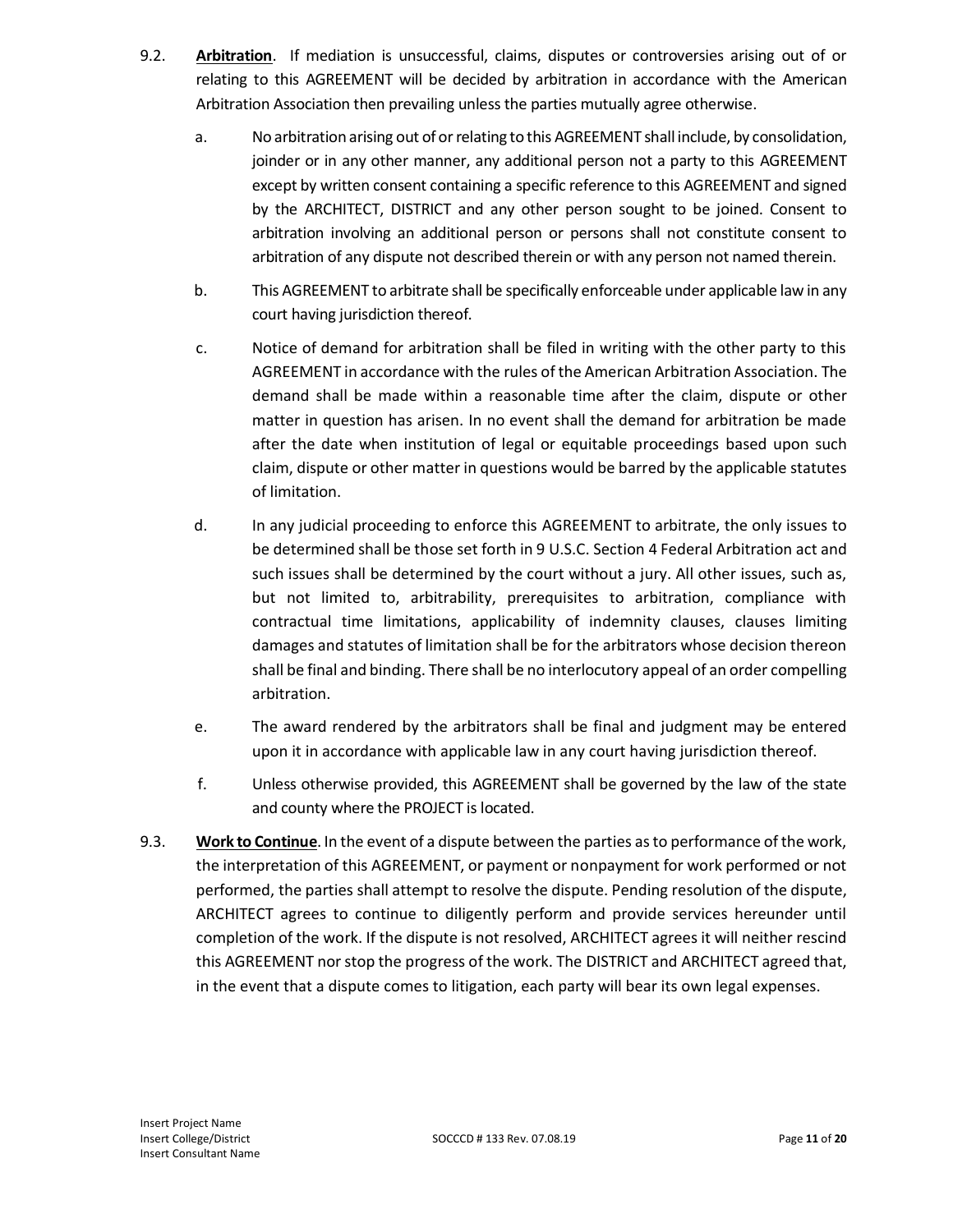- 9.2. **Arbitration**. If mediation is unsuccessful, claims, disputes or controversies arising out of or relating to this AGREEMENT will be decided by arbitration in accordance with the American Arbitration Association then prevailing unless the parties mutually agree otherwise.
	- a. No arbitration arising out of or relating to this AGREEMENT shall include, by consolidation, joinder or in any other manner, any additional person not a party to this AGREEMENT except by written consent containing a specific reference to this AGREEMENT and signed by the ARCHITECT, DISTRICT and any other person sought to be joined. Consent to arbitration involving an additional person or persons shall not constitute consent to arbitration of any dispute not described therein or with any person not named therein.
	- b. This AGREEMENT to arbitrate shall be specifically enforceable under applicable law in any court having jurisdiction thereof.
	- c. Notice of demand for arbitration shall be filed in writing with the other party to this AGREEMENT in accordance with the rules of the American Arbitration Association. The demand shall be made within a reasonable time after the claim, dispute or other matter in question has arisen. In no event shall the demand for arbitration be made after the date when institution of legal or equitable proceedings based upon such claim, dispute or other matter in questions would be barred by the applicable statutes of limitation.
	- d. In any judicial proceeding to enforce this AGREEMENT to arbitrate, the only issues to be determined shall be those set forth in 9 U.S.C. Section 4 Federal Arbitration act and such issues shall be determined by the court without a jury. All other issues, such as, but not limited to, arbitrability, prerequisites to arbitration, compliance with contractual time limitations, applicability of indemnity clauses, clauses limiting damages and statutes of limitation shall be for the arbitrators whose decision thereon shall be final and binding. There shall be no interlocutory appeal of an order compelling arbitration.
	- e. The award rendered by the arbitrators shall be final and judgment may be entered upon it in accordance with applicable law in any court having jurisdiction thereof.
	- f. Unless otherwise provided, this AGREEMENT shall be governed by the law of the state and county where the PROJECT is located.
- 9.3. **Work to Continue**. In the event of a dispute between the parties as to performance of the work, the interpretation of this AGREEMENT, or payment or nonpayment for work performed or not performed, the parties shall attempt to resolve the dispute. Pending resolution of the dispute, ARCHITECT agrees to continue to diligently perform and provide services hereunder until completion of the work. If the dispute is not resolved, ARCHITECT agrees it will neither rescind this AGREEMENT nor stop the progress of the work. The DISTRICT and ARCHITECT agreed that, in the event that a dispute comes to litigation, each party will bear its own legal expenses.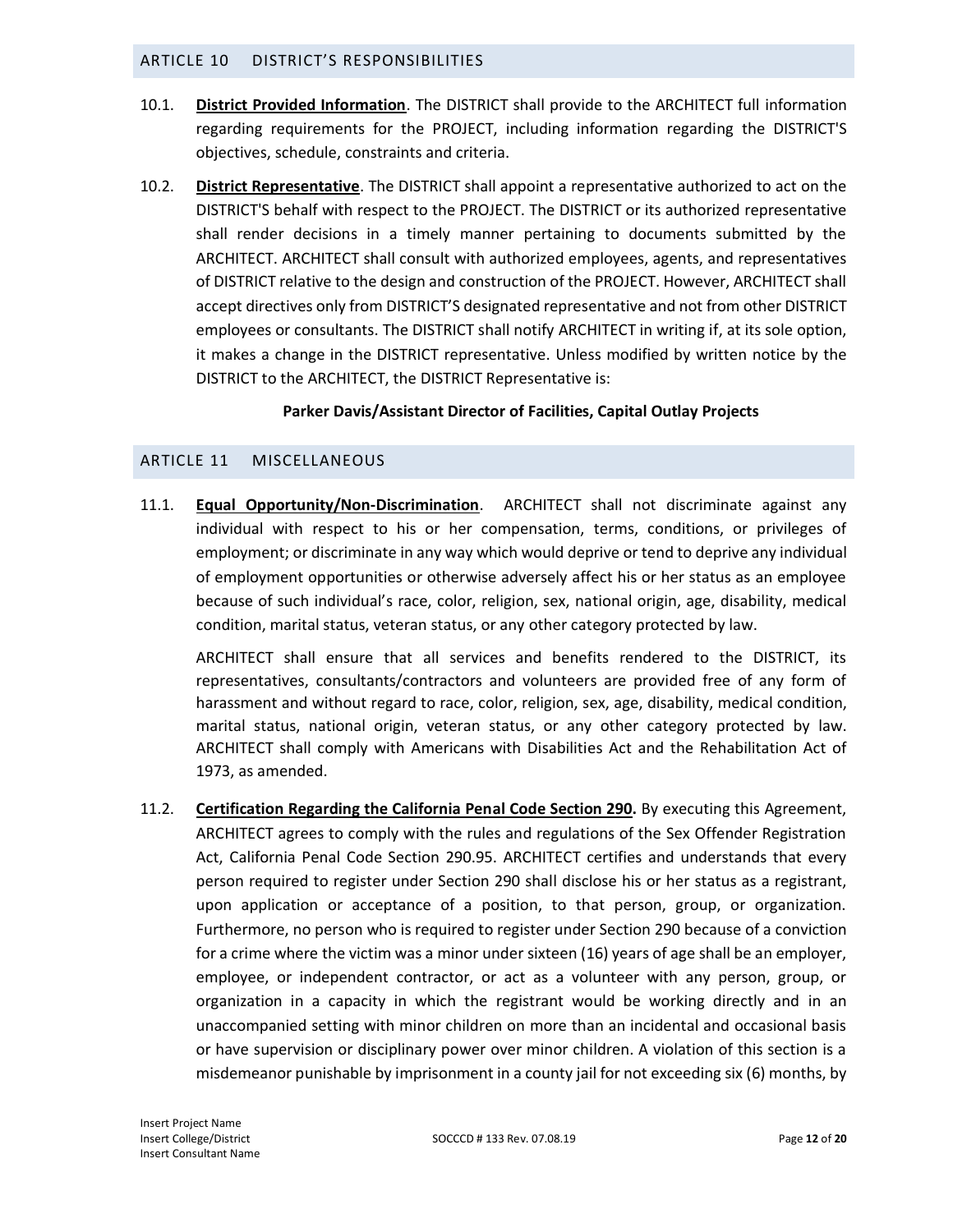#### ARTICLE 10 DISTRICT'S RESPONSIBILITIES

- 10.1. **District Provided Information**. The DISTRICT shall provide to the ARCHITECT full information regarding requirements for the PROJECT, including information regarding the DISTRICT'S objectives, schedule, constraints and criteria.
- 10.2. **District Representative**. The DISTRICT shall appoint a representative authorized to act on the DISTRICT'S behalf with respect to the PROJECT. The DISTRICT or its authorized representative shall render decisions in a timely manner pertaining to documents submitted by the ARCHITECT. ARCHITECT shall consult with authorized employees, agents, and representatives of DISTRICT relative to the design and construction of the PROJECT. However, ARCHITECT shall accept directives only from DISTRICT'S designated representative and not from other DISTRICT employees or consultants. The DISTRICT shall notify ARCHITECT in writing if, at its sole option, it makes a change in the DISTRICT representative. Unless modified by written notice by the DISTRICT to the ARCHITECT, the DISTRICT Representative is:

### **Parker Davis/Assistant Director of Facilities, Capital Outlay Projects**

### ARTICLE 11 MISCELLANEOUS

11.1. **Equal Opportunity/Non-Discrimination**. ARCHITECT shall not discriminate against any individual with respect to his or her compensation, terms, conditions, or privileges of employment; or discriminate in any way which would deprive or tend to deprive any individual of employment opportunities or otherwise adversely affect his or her status as an employee because of such individual's race, color, religion, sex, national origin, age, disability, medical condition, marital status, veteran status, or any other category protected by law.

ARCHITECT shall ensure that all services and benefits rendered to the DISTRICT, its representatives, consultants/contractors and volunteers are provided free of any form of harassment and without regard to race, color, religion, sex, age, disability, medical condition, marital status, national origin, veteran status, or any other category protected by law. ARCHITECT shall comply with Americans with Disabilities Act and the Rehabilitation Act of 1973, as amended.

11.2. **Certification Regarding the California Penal Code Section 290.** By executing this Agreement, ARCHITECT agrees to comply with the rules and regulations of the Sex Offender Registration Act, California Penal Code Section 290.95. ARCHITECT certifies and understands that every person required to register under Section 290 shall disclose his or her status as a registrant, upon application or acceptance of a position, to that person, group, or organization. Furthermore, no person who is required to register under Section 290 because of a conviction for a crime where the victim was a minor under sixteen (16) years of age shall be an employer, employee, or independent contractor, or act as a volunteer with any person, group, or organization in a capacity in which the registrant would be working directly and in an unaccompanied setting with minor children on more than an incidental and occasional basis or have supervision or disciplinary power over minor children. A violation of this section is a misdemeanor punishable by imprisonment in a county jail for not exceeding six (6) months, by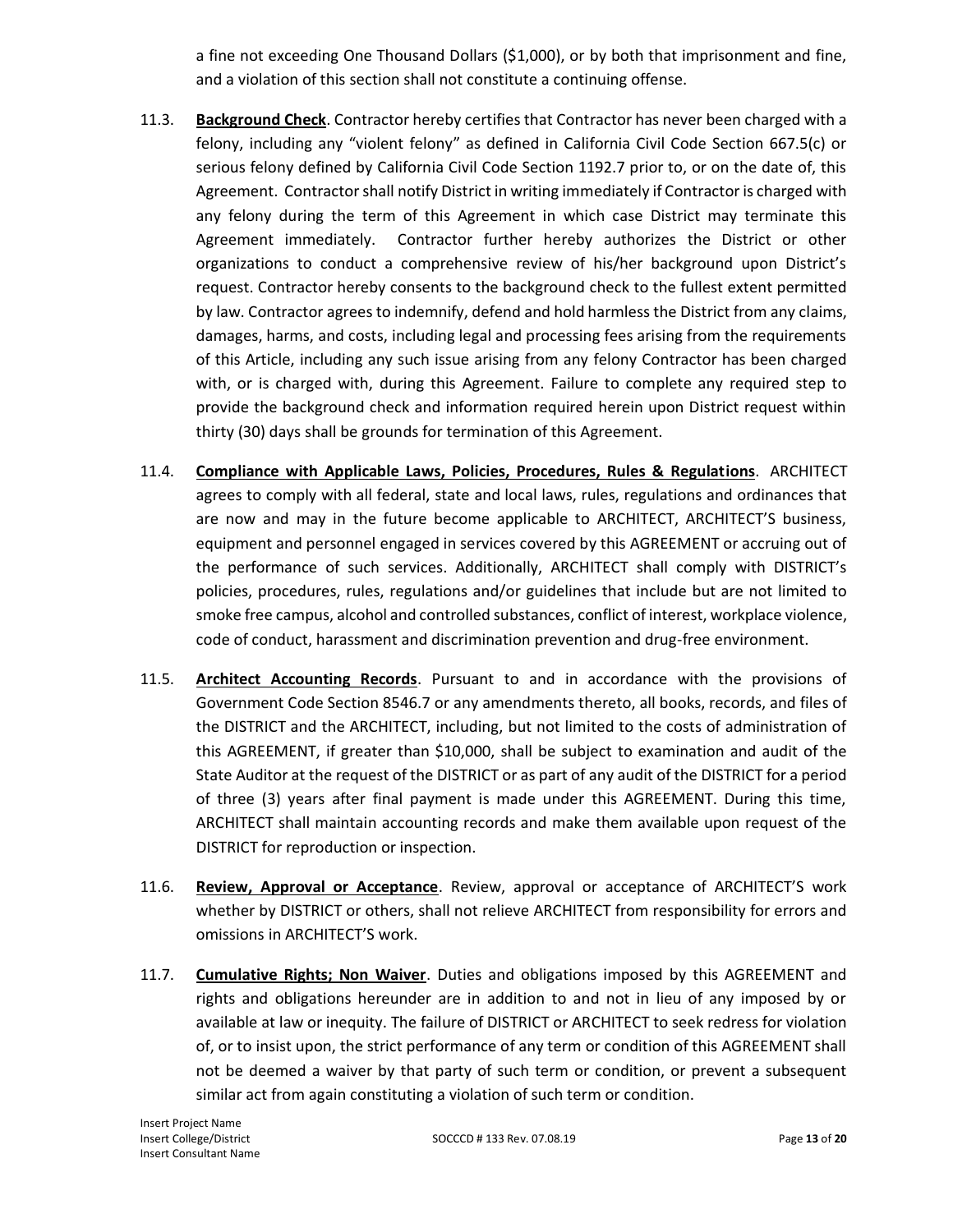a fine not exceeding One Thousand Dollars (\$1,000), or by both that imprisonment and fine, and a violation of this section shall not constitute a continuing offense.

- 11.3. **Background Check**. Contractor hereby certifies that Contractor has never been charged with a felony, including any "violent felony" as defined in California Civil Code Section 667.5(c) or serious felony defined by California Civil Code Section 1192.7 prior to, or on the date of, this Agreement. Contractor shall notify District in writing immediately if Contractor is charged with any felony during the term of this Agreement in which case District may terminate this Agreement immediately. Contractor further hereby authorizes the District or other organizations to conduct a comprehensive review of his/her background upon District's request. Contractor hereby consents to the background check to the fullest extent permitted by law. Contractor agrees to indemnify, defend and hold harmless the District from any claims, damages, harms, and costs, including legal and processing fees arising from the requirements of this Article, including any such issue arising from any felony Contractor has been charged with, or is charged with, during this Agreement. Failure to complete any required step to provide the background check and information required herein upon District request within thirty (30) days shall be grounds for termination of this Agreement.
- 11.4. **Compliance with Applicable Laws, Policies, Procedures, Rules & Regulations**. ARCHITECT agrees to comply with all federal, state and local laws, rules, regulations and ordinances that are now and may in the future become applicable to ARCHITECT, ARCHITECT'S business, equipment and personnel engaged in services covered by this AGREEMENT or accruing out of the performance of such services. Additionally, ARCHITECT shall comply with DISTRICT's policies, procedures, rules, regulations and/or guidelines that include but are not limited to smoke free campus, alcohol and controlled substances, conflict of interest, workplace violence, code of conduct, harassment and discrimination prevention and drug-free environment.
- 11.5. **Architect Accounting Records**. Pursuant to and in accordance with the provisions of Government Code Section 8546.7 or any amendments thereto, all books, records, and files of the DISTRICT and the ARCHITECT, including, but not limited to the costs of administration of this AGREEMENT, if greater than \$10,000, shall be subject to examination and audit of the State Auditor at the request of the DISTRICT or as part of any audit of the DISTRICT for a period of three (3) years after final payment is made under this AGREEMENT. During this time, ARCHITECT shall maintain accounting records and make them available upon request of the DISTRICT for reproduction or inspection.
- 11.6. **Review, Approval or Acceptance**. Review, approval or acceptance of ARCHITECT'S work whether by DISTRICT or others, shall not relieve ARCHITECT from responsibility for errors and omissions in ARCHITECT'S work.
- 11.7. **Cumulative Rights; Non Waiver**. Duties and obligations imposed by this AGREEMENT and rights and obligations hereunder are in addition to and not in lieu of any imposed by or available at law or inequity. The failure of DISTRICT or ARCHITECT to seek redress for violation of, or to insist upon, the strict performance of any term or condition of this AGREEMENT shall not be deemed a waiver by that party of such term or condition, or prevent a subsequent similar act from again constituting a violation of such term or condition.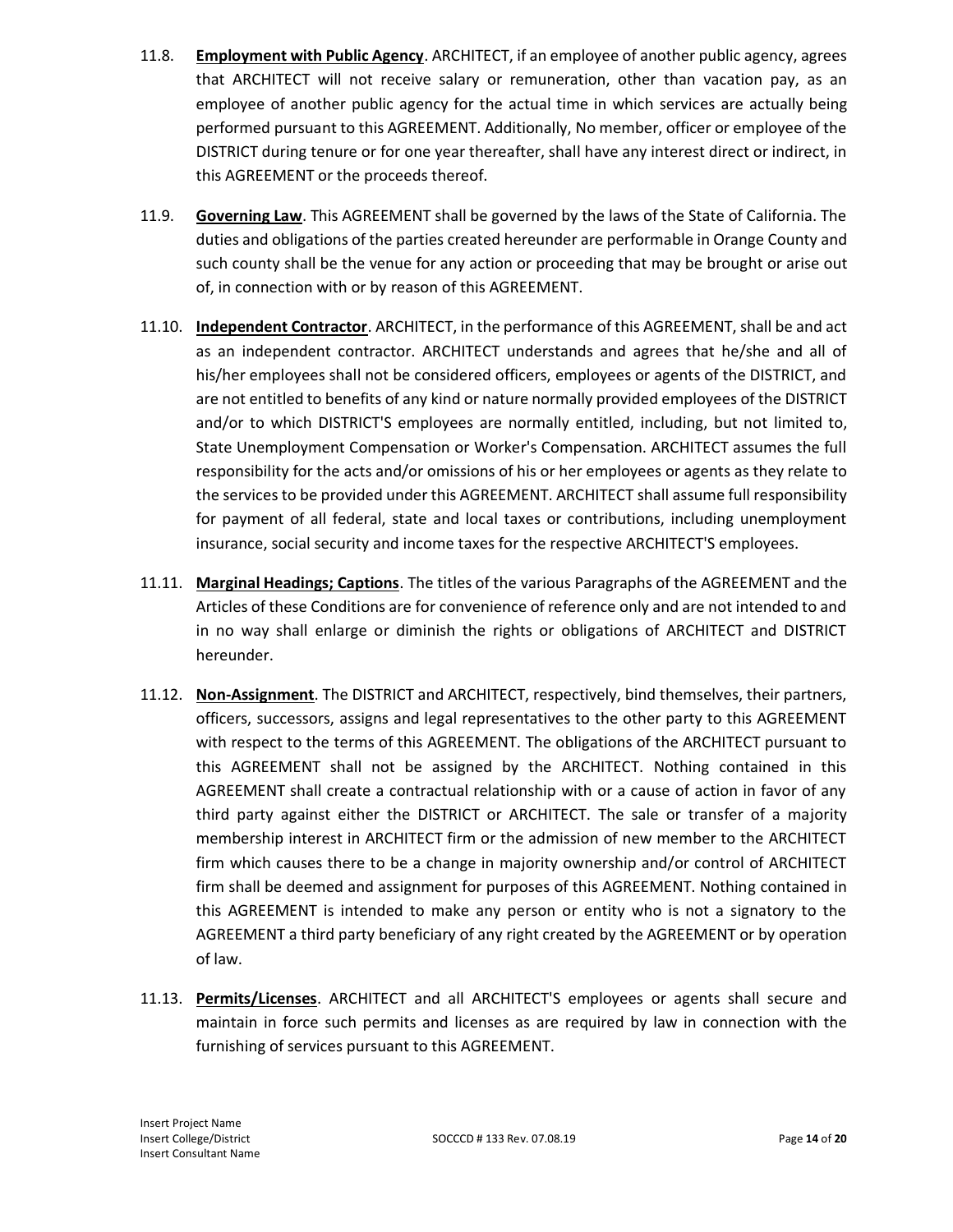- 11.8. **Employment with Public Agency**. ARCHITECT, if an employee of another public agency, agrees that ARCHITECT will not receive salary or remuneration, other than vacation pay, as an employee of another public agency for the actual time in which services are actually being performed pursuant to this AGREEMENT. Additionally, No member, officer or employee of the DISTRICT during tenure or for one year thereafter, shall have any interest direct or indirect, in this AGREEMENT or the proceeds thereof.
- 11.9. **Governing Law**. This AGREEMENT shall be governed by the laws of the State of California. The duties and obligations of the parties created hereunder are performable in Orange County and such county shall be the venue for any action or proceeding that may be brought or arise out of, in connection with or by reason of this AGREEMENT.
- 11.10. **Independent Contractor**. ARCHITECT, in the performance of this AGREEMENT, shall be and act as an independent contractor. ARCHITECT understands and agrees that he/she and all of his/her employees shall not be considered officers, employees or agents of the DISTRICT, and are not entitled to benefits of any kind or nature normally provided employees of the DISTRICT and/or to which DISTRICT'S employees are normally entitled, including, but not limited to, State Unemployment Compensation or Worker's Compensation. ARCHITECT assumes the full responsibility for the acts and/or omissions of his or her employees or agents as they relate to the services to be provided under this AGREEMENT. ARCHITECT shall assume full responsibility for payment of all federal, state and local taxes or contributions, including unemployment insurance, social security and income taxes for the respective ARCHITECT'S employees.
- 11.11. **Marginal Headings; Captions**. The titles of the various Paragraphs of the AGREEMENT and the Articles of these Conditions are for convenience of reference only and are not intended to and in no way shall enlarge or diminish the rights or obligations of ARCHITECT and DISTRICT hereunder.
- 11.12. **Non-Assignment**. The DISTRICT and ARCHITECT, respectively, bind themselves, their partners, officers, successors, assigns and legal representatives to the other party to this AGREEMENT with respect to the terms of this AGREEMENT. The obligations of the ARCHITECT pursuant to this AGREEMENT shall not be assigned by the ARCHITECT. Nothing contained in this AGREEMENT shall create a contractual relationship with or a cause of action in favor of any third party against either the DISTRICT or ARCHITECT. The sale or transfer of a majority membership interest in ARCHITECT firm or the admission of new member to the ARCHITECT firm which causes there to be a change in majority ownership and/or control of ARCHITECT firm shall be deemed and assignment for purposes of this AGREEMENT. Nothing contained in this AGREEMENT is intended to make any person or entity who is not a signatory to the AGREEMENT a third party beneficiary of any right created by the AGREEMENT or by operation of law.
- 11.13. **Permits/Licenses**. ARCHITECT and all ARCHITECT'S employees or agents shall secure and maintain in force such permits and licenses as are required by law in connection with the furnishing of services pursuant to this AGREEMENT.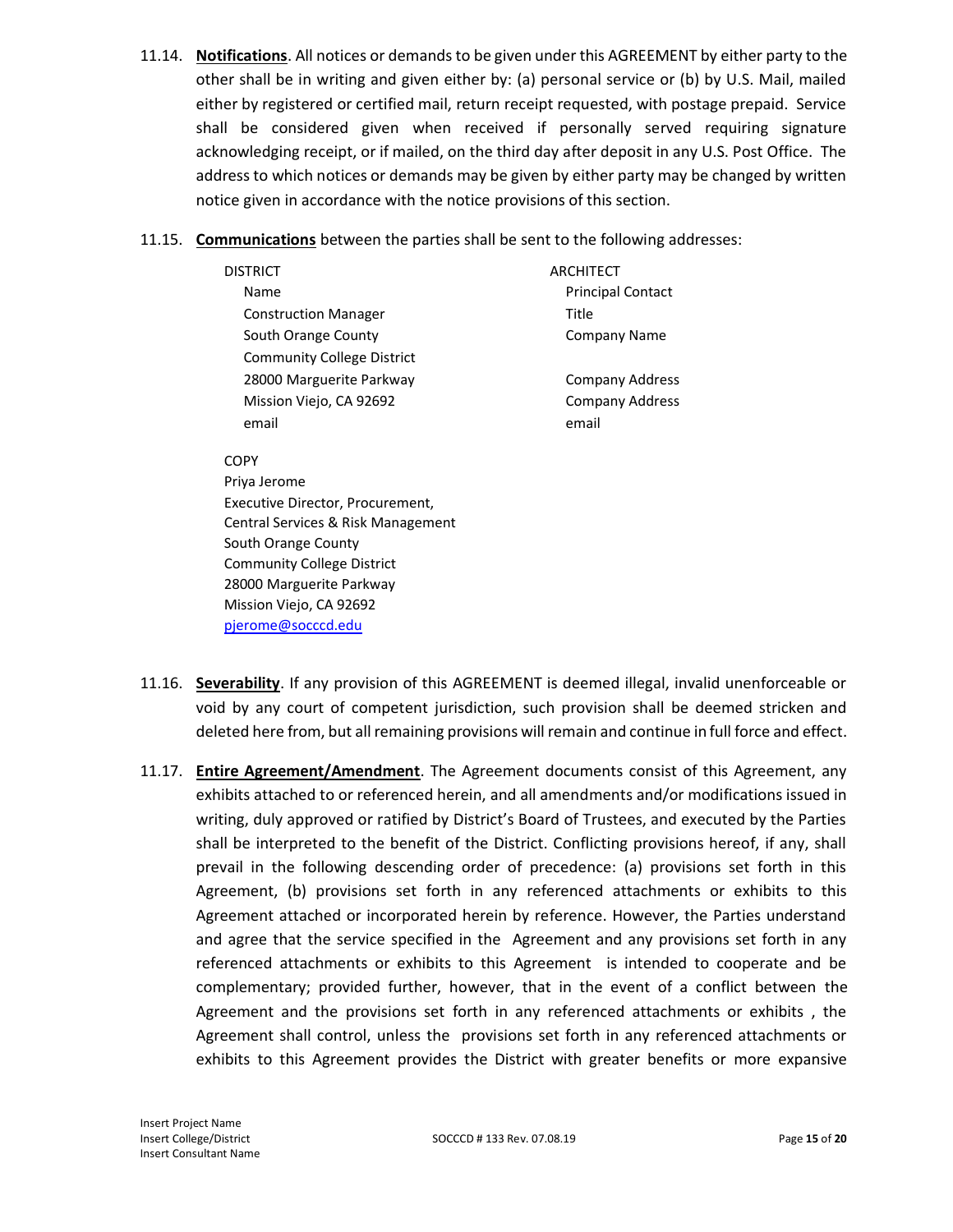- 11.14. **Notifications**. All notices or demands to be given under this AGREEMENT by either party to the other shall be in writing and given either by: (a) personal service or (b) by U.S. Mail, mailed either by registered or certified mail, return receipt requested, with postage prepaid. Service shall be considered given when received if personally served requiring signature acknowledging receipt, or if mailed, on the third day after deposit in any U.S. Post Office. The address to which notices or demands may be given by either party may be changed by written notice given in accordance with the notice provisions of this section.
- 11.15. **Communications** between the parties shall be sent to the following addresses:

| DISTRICT                          | ARCHITECT                |
|-----------------------------------|--------------------------|
| Name                              | <b>Principal Contact</b> |
| <b>Construction Manager</b>       | Title                    |
| South Orange County               | <b>Company Name</b>      |
| <b>Community College District</b> |                          |
| 28000 Marguerite Parkway          | Company Address          |
| Mission Viejo, CA 92692           | <b>Company Address</b>   |
| email                             | email                    |
|                                   |                          |

COPY Priya Jerome

Executive Director, Procurement, Central Services & Risk Management South Orange County Community College District 28000 Marguerite Parkway Mission Viejo, CA 92692 [pjerome@socccd.edu](mailto:pjerome@socccd.edu)

- 11.16. **Severability**. If any provision of this AGREEMENT is deemed illegal, invalid unenforceable or void by any court of competent jurisdiction, such provision shall be deemed stricken and deleted here from, but all remaining provisions will remain and continue in full force and effect.
- 11.17. **Entire Agreement/Amendment**. The Agreement documents consist of this Agreement, any exhibits attached to or referenced herein, and all amendments and/or modifications issued in writing, duly approved or ratified by District's Board of Trustees, and executed by the Parties shall be interpreted to the benefit of the District. Conflicting provisions hereof, if any, shall prevail in the following descending order of precedence: (a) provisions set forth in this Agreement, (b) provisions set forth in any referenced attachments or exhibits to this Agreement attached or incorporated herein by reference. However, the Parties understand and agree that the service specified in the Agreement and any provisions set forth in any referenced attachments or exhibits to this Agreement is intended to cooperate and be complementary; provided further, however, that in the event of a conflict between the Agreement and the provisions set forth in any referenced attachments or exhibits , the Agreement shall control, unless the provisions set forth in any referenced attachments or exhibits to this Agreement provides the District with greater benefits or more expansive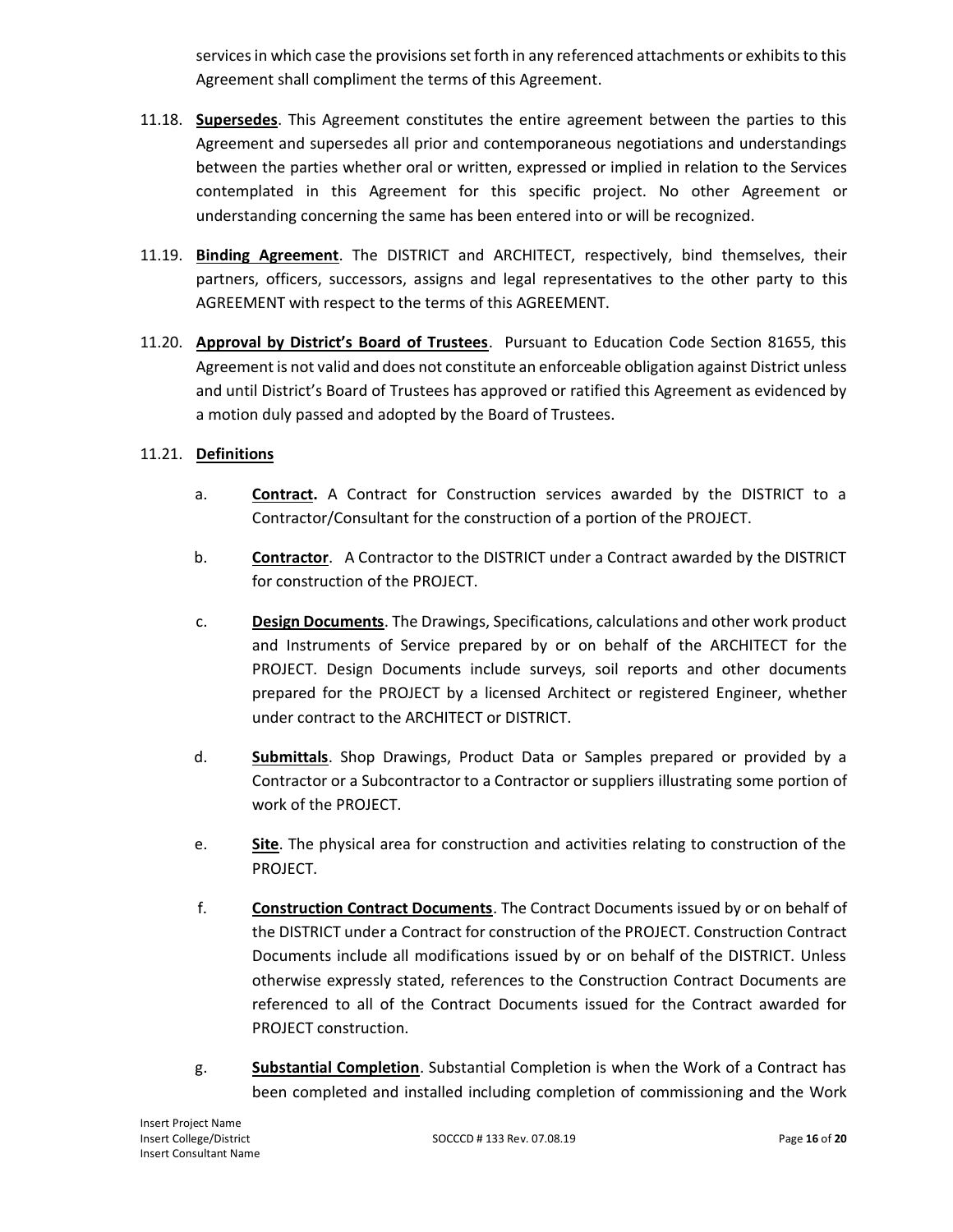services in which case the provisions set forth in any referenced attachments or exhibits to this Agreement shall compliment the terms of this Agreement.

- 11.18. **Supersedes**. This Agreement constitutes the entire agreement between the parties to this Agreement and supersedes all prior and contemporaneous negotiations and understandings between the parties whether oral or written, expressed or implied in relation to the Services contemplated in this Agreement for this specific project. No other Agreement or understanding concerning the same has been entered into or will be recognized.
- 11.19. **Binding Agreement**. The DISTRICT and ARCHITECT, respectively, bind themselves, their partners, officers, successors, assigns and legal representatives to the other party to this AGREEMENT with respect to the terms of this AGREEMENT.
- 11.20. **Approval by District's Board of Trustees**. Pursuant to Education Code Section 81655, this Agreement is not valid and does not constitute an enforceable obligation against District unless and until District's Board of Trustees has approved or ratified this Agreement as evidenced by a motion duly passed and adopted by the Board of Trustees.

## 11.21. **Definitions**

- a. **Contract.** A Contract for Construction services awarded by the DISTRICT to a Contractor/Consultant for the construction of a portion of the PROJECT.
- b. **Contractor**. A Contractor to the DISTRICT under a Contract awarded by the DISTRICT for construction of the PROJECT.
- c. **Design Documents**. The Drawings, Specifications, calculations and other work product and Instruments of Service prepared by or on behalf of the ARCHITECT for the PROJECT. Design Documents include surveys, soil reports and other documents prepared for the PROJECT by a licensed Architect or registered Engineer, whether under contract to the ARCHITECT or DISTRICT.
- d. **Submittals**. Shop Drawings, Product Data or Samples prepared or provided by a Contractor or a Subcontractor to a Contractor or suppliers illustrating some portion of work of the PROJECT.
- e. **Site**. The physical area for construction and activities relating to construction of the PROJECT.
- f. **Construction Contract Documents**. The Contract Documents issued by or on behalf of the DISTRICT under a Contract for construction of the PROJECT. Construction Contract Documents include all modifications issued by or on behalf of the DISTRICT. Unless otherwise expressly stated, references to the Construction Contract Documents are referenced to all of the Contract Documents issued for the Contract awarded for PROJECT construction.
- g. **Substantial Completion**. Substantial Completion is when the Work of a Contract has been completed and installed including completion of commissioning and the Work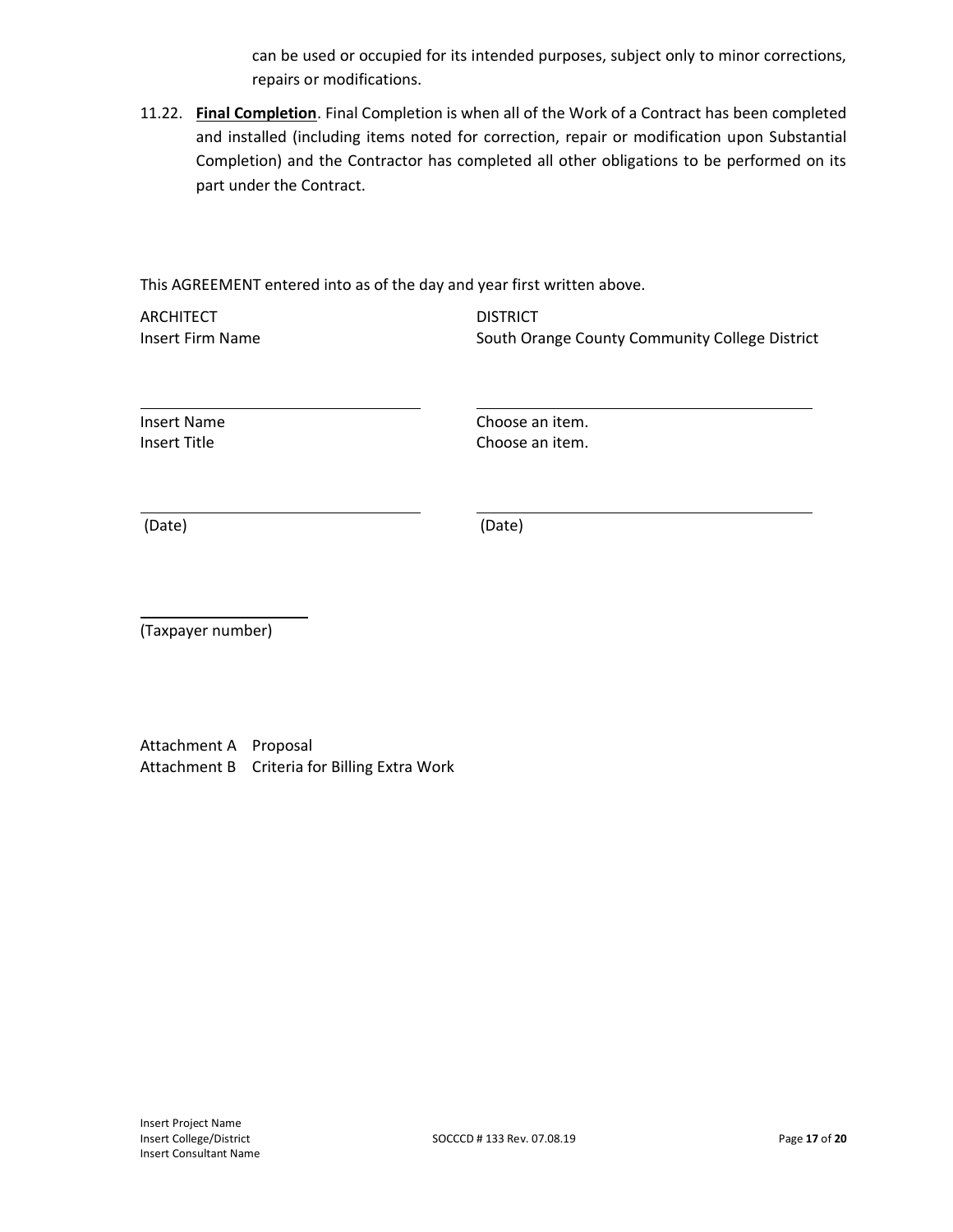can be used or occupied for its intended purposes, subject only to minor corrections, repairs or modifications.

11.22. **Final Completion**. Final Completion is when all of the Work of a Contract has been completed and installed (including items noted for correction, repair or modification upon Substantial Completion) and the Contractor has completed all other obligations to be performed on its part under the Contract.

This AGREEMENT entered into as of the day and year first written above.

ARCHITECT DISTRICT

Insert Firm Name **South Orange County Community College District** 

Insert Name Choose an item. Insert Title **Choose an** item.

(Date) (Date)

(Taxpayer number)

Attachment A Proposal Attachment B Criteria for Billing Extra Work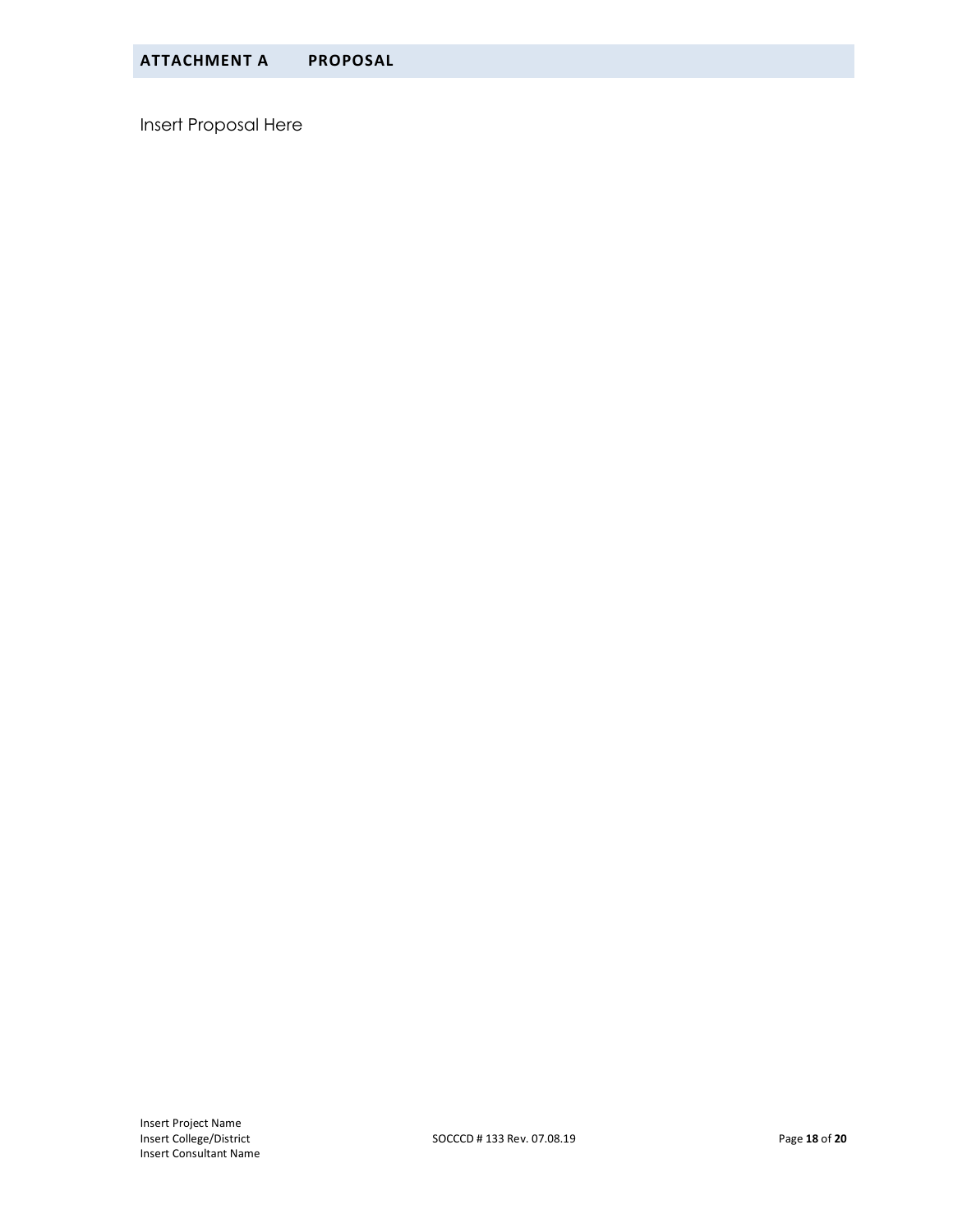Insert Proposal Here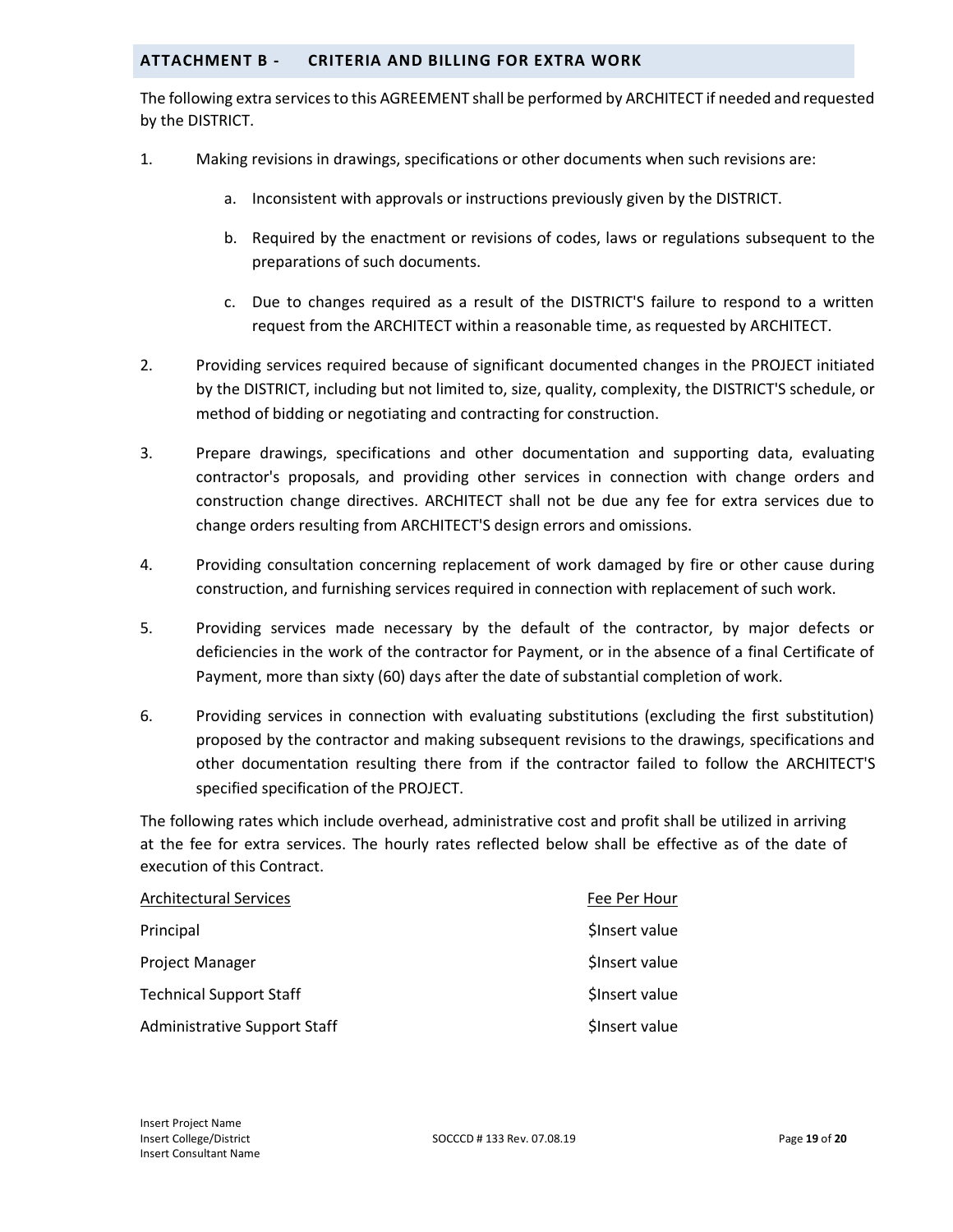#### **ATTACHMENT B - CRITERIA AND BILLING FOR EXTRA WORK**

The following extra services to this AGREEMENT shall be performed by ARCHITECT if needed and requested by the DISTRICT.

- 1. Making revisions in drawings, specifications or other documents when such revisions are:
	- a. Inconsistent with approvals or instructions previously given by the DISTRICT.
	- b. Required by the enactment or revisions of codes, laws or regulations subsequent to the preparations of such documents.
	- c. Due to changes required as a result of the DISTRICT'S failure to respond to a written request from the ARCHITECT within a reasonable time, as requested by ARCHITECT.
- 2. Providing services required because of significant documented changes in the PROJECT initiated by the DISTRICT, including but not limited to, size, quality, complexity, the DISTRICT'S schedule, or method of bidding or negotiating and contracting for construction.
- 3. Prepare drawings, specifications and other documentation and supporting data, evaluating contractor's proposals, and providing other services in connection with change orders and construction change directives. ARCHITECT shall not be due any fee for extra services due to change orders resulting from ARCHITECT'S design errors and omissions.
- 4. Providing consultation concerning replacement of work damaged by fire or other cause during construction, and furnishing services required in connection with replacement of such work.
- 5. Providing services made necessary by the default of the contractor, by major defects or deficiencies in the work of the contractor for Payment, or in the absence of a final Certificate of Payment, more than sixty (60) days after the date of substantial completion of work.
- 6. Providing services in connection with evaluating substitutions (excluding the first substitution) proposed by the contractor and making subsequent revisions to the drawings, specifications and other documentation resulting there from if the contractor failed to follow the ARCHITECT'S specified specification of the PROJECT.

The following rates which include overhead, administrative cost and profit shall be utilized in arriving at the fee for extra services. The hourly rates reflected below shall be effective as of the date of execution of this Contract.

| <b>Architectural Services</b>  | Fee Per Hour   |
|--------------------------------|----------------|
| Principal                      | Sinsert value  |
| Project Manager                | \$Insert value |
| <b>Technical Support Staff</b> | \$Insert value |
| Administrative Support Staff   | \$Insert value |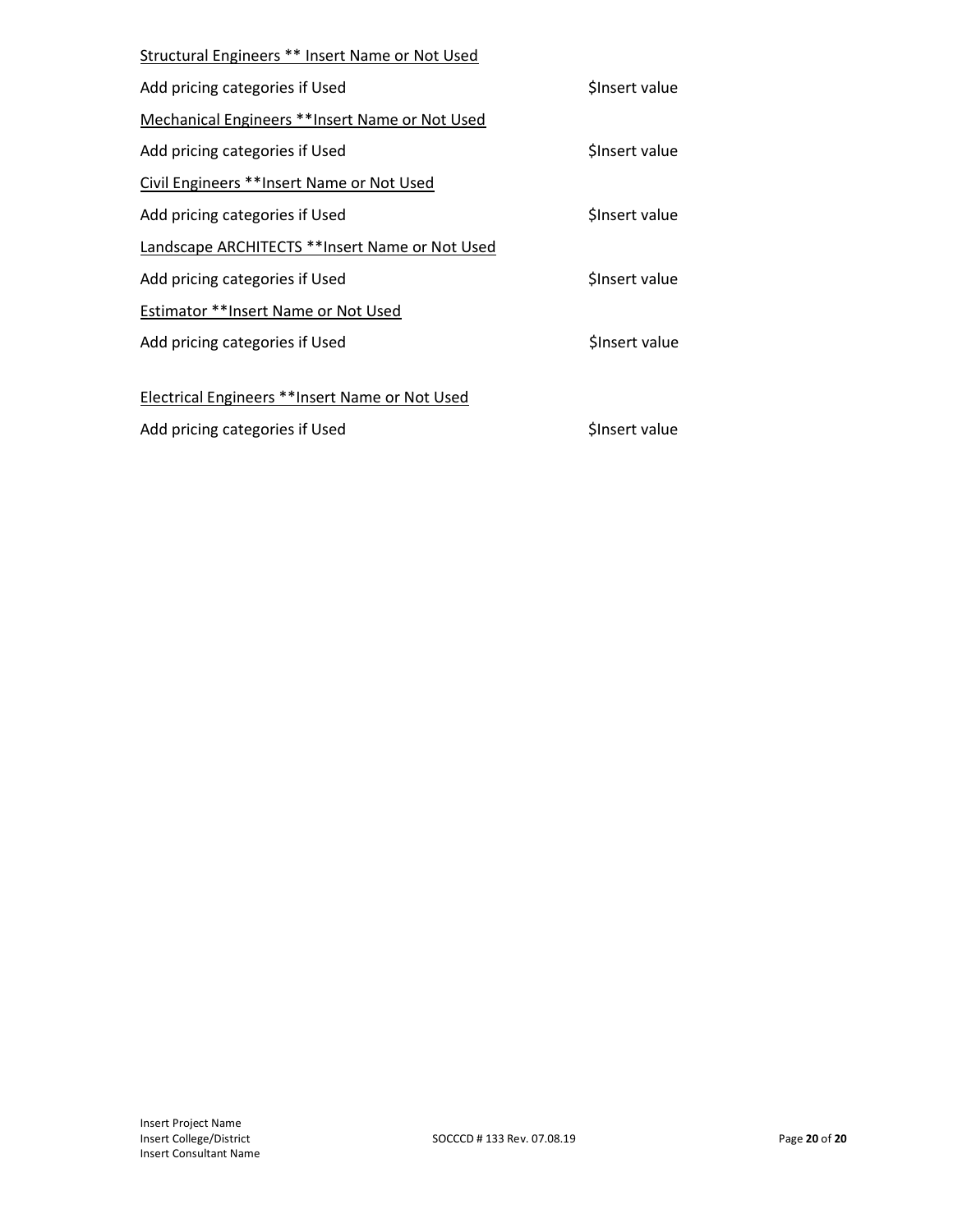| Structural Engineers ** Insert Name or Not Used |                |
|-------------------------------------------------|----------------|
| Add pricing categories if Used                  | Sinsert value  |
| Mechanical Engineers ** Insert Name or Not Used |                |
| Add pricing categories if Used                  | \$Insert value |
| Civil Engineers **Insert Name or Not Used       |                |
| Add pricing categories if Used                  | Sinsert value  |
| Landscape ARCHITECTS **Insert Name or Not Used  |                |
| Add pricing categories if Used                  | \$Insert value |
| Estimator ** Insert Name or Not Used            |                |
| Add pricing categories if Used                  | Sinsert value  |
|                                                 |                |
| Electrical Engineers **Insert Name or Not Used  |                |
| Add pricing categories if Used                  | Sinsert value  |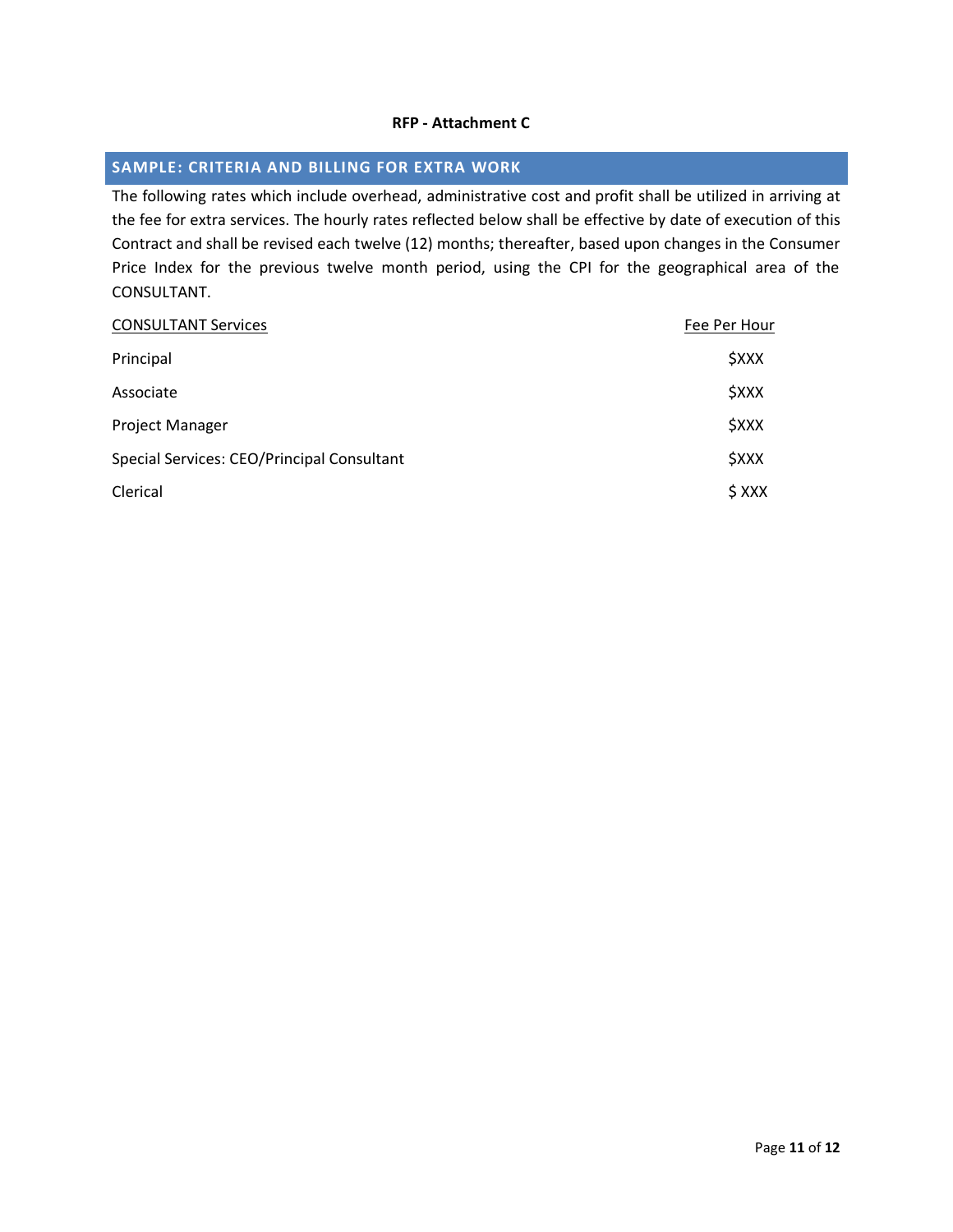### **RFP - Attachment C**

## **SAMPLE: CRITERIA AND BILLING FOR EXTRA WORK**

The following rates which include overhead, administrative cost and profit shall be utilized in arriving at the fee for extra services. The hourly rates reflected below shall be effective by date of execution of this Contract and shall be revised each twelve (12) months; thereafter, based upon changes in the Consumer Price Index for the previous twelve month period, using the CPI for the geographical area of the CONSULTANT.

| <b>CONSULTANT Services</b>                 | Fee Per Hour              |
|--------------------------------------------|---------------------------|
| Principal                                  | <b><i><u>SXXX</u></i></b> |
| Associate                                  | <b><i><u>SXXX</u></i></b> |
| <b>Project Manager</b>                     | <b><i><u>SXXX</u></i></b> |
| Special Services: CEO/Principal Consultant | <b><i><u>SXXX</u></i></b> |
| Clerical                                   | $$$ XXX                   |